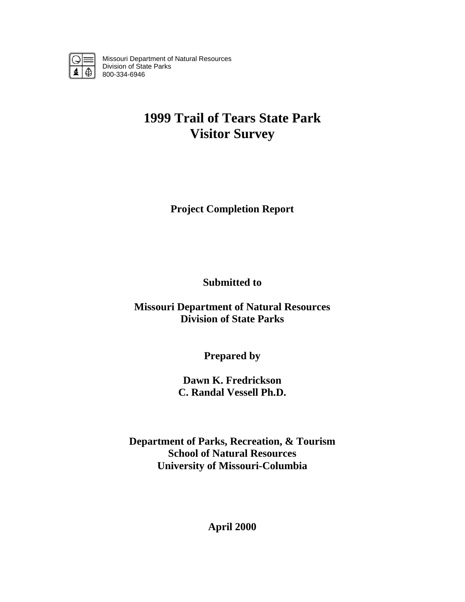

Missouri Department of Natural Resources Division of State Parks 800-334-6946

# **1999 Trail of Tears State Park Visitor Survey**

**Project Completion Report** 

**Submitted to** 

**Missouri Department of Natural Resources Division of State Parks** 

**Prepared by** 

**Dawn K. Fredrickson C. Randal Vessell Ph.D.** 

**Department of Parks, Recreation, & Tourism School of Natural Resources University of Missouri-Columbia** 

**April 2000**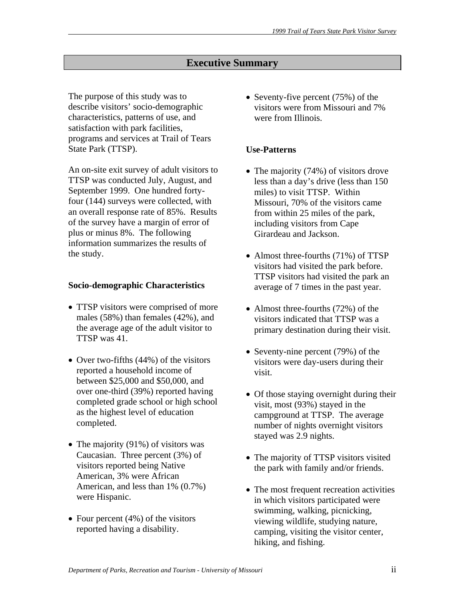# **Executive Summary**

The purpose of this study was to describe visitors' socio-demographic characteristics, patterns of use, and satisfaction with park facilities, programs and services at Trail of Tears State Park (TTSP).

An on-site exit survey of adult visitors to TTSP was conducted July, August, and September 1999. One hundred fortyfour (144) surveys were collected, with an overall response rate of 85%. Results of the survey have a margin of error of plus or minus 8%. The following information summarizes the results of the study.

#### **Socio-demographic Characteristics**

- TTSP visitors were comprised of more males (58%) than females (42%), and the average age of the adult visitor to TTSP was 41.
- Over two-fifths (44%) of the visitors reported a household income of between \$25,000 and \$50,000, and over one-third (39%) reported having completed grade school or high school as the highest level of education completed.
- The majority (91%) of visitors was Caucasian. Three percent (3%) of visitors reported being Native American, 3% were African American, and less than 1% (0.7%) were Hispanic.
- Four percent  $(4\%)$  of the visitors reported having a disability.

• Seventy-five percent (75%) of the visitors were from Missouri and 7% were from Illinois.

## **Use-Patterns**

- The majority (74%) of visitors drove less than a day's drive (less than 150 miles) to visit TTSP. Within Missouri, 70% of the visitors came from within 25 miles of the park, including visitors from Cape Girardeau and Jackson.
- Almost three-fourths (71%) of TTSP visitors had visited the park before. TTSP visitors had visited the park an average of 7 times in the past year.
- Almost three-fourths (72%) of the visitors indicated that TTSP was a primary destination during their visit.
- Seventy-nine percent (79%) of the visitors were day-users during their visit.
- Of those staying overnight during their visit, most (93%) stayed in the campground at TTSP. The average number of nights overnight visitors stayed was 2.9 nights.
- The majority of TTSP visitors visited the park with family and/or friends.
- The most frequent recreation activities in which visitors participated were swimming, walking, picnicking, viewing wildlife, studying nature, camping, visiting the visitor center, hiking, and fishing.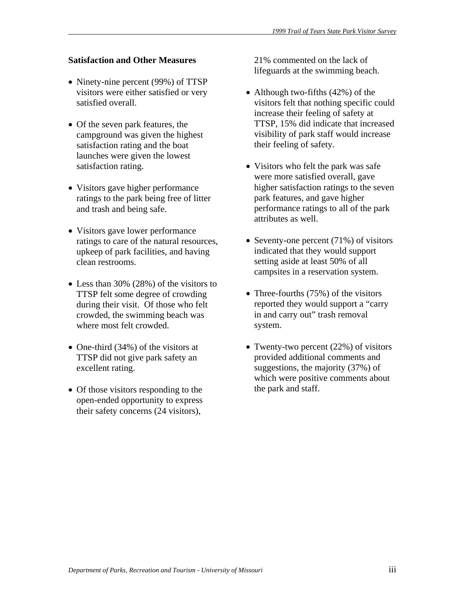## **Satisfaction and Other Measures**

- Ninety-nine percent (99%) of TTSP visitors were either satisfied or very satisfied overall.
- Of the seven park features, the campground was given the highest satisfaction rating and the boat launches were given the lowest satisfaction rating.
- Visitors gave higher performance ratings to the park being free of litter and trash and being safe.
- Visitors gave lower performance ratings to care of the natural resources, upkeep of park facilities, and having clean restrooms.
- Less than 30% (28%) of the visitors to TTSP felt some degree of crowding during their visit. Of those who felt crowded, the swimming beach was where most felt crowded.
- One-third (34%) of the visitors at TTSP did not give park safety an excellent rating.
- Of those visitors responding to the open-ended opportunity to express their safety concerns (24 visitors),

21% commented on the lack of lifeguards at the swimming beach.

- Although two-fifths (42%) of the visitors felt that nothing specific could increase their feeling of safety at TTSP, 15% did indicate that increased visibility of park staff would increase their feeling of safety.
- Visitors who felt the park was safe were more satisfied overall, gave higher satisfaction ratings to the seven park features, and gave higher performance ratings to all of the park attributes as well.
- Seventy-one percent (71%) of visitors indicated that they would support setting aside at least 50% of all campsites in a reservation system.
- Three-fourths (75%) of the visitors reported they would support a "carry in and carry out" trash removal system.
- Twenty-two percent (22%) of visitors provided additional comments and suggestions, the majority (37%) of which were positive comments about the park and staff.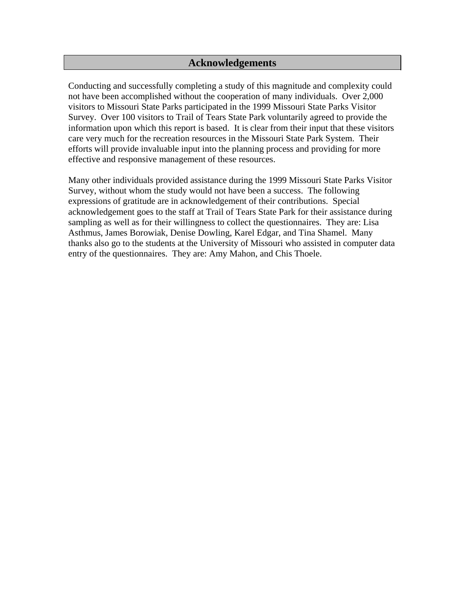# **Acknowledgements**

Conducting and successfully completing a study of this magnitude and complexity could not have been accomplished without the cooperation of many individuals. Over 2,000 visitors to Missouri State Parks participated in the 1999 Missouri State Parks Visitor Survey. Over 100 visitors to Trail of Tears State Park voluntarily agreed to provide the information upon which this report is based. It is clear from their input that these visitors care very much for the recreation resources in the Missouri State Park System. Their efforts will provide invaluable input into the planning process and providing for more effective and responsive management of these resources.

Many other individuals provided assistance during the 1999 Missouri State Parks Visitor Survey, without whom the study would not have been a success. The following expressions of gratitude are in acknowledgement of their contributions. Special acknowledgement goes to the staff at Trail of Tears State Park for their assistance during sampling as well as for their willingness to collect the questionnaires. They are: Lisa Asthmus, James Borowiak, Denise Dowling, Karel Edgar, and Tina Shamel. Many thanks also go to the students at the University of Missouri who assisted in computer data entry of the questionnaires. They are: Amy Mahon, and Chis Thoele.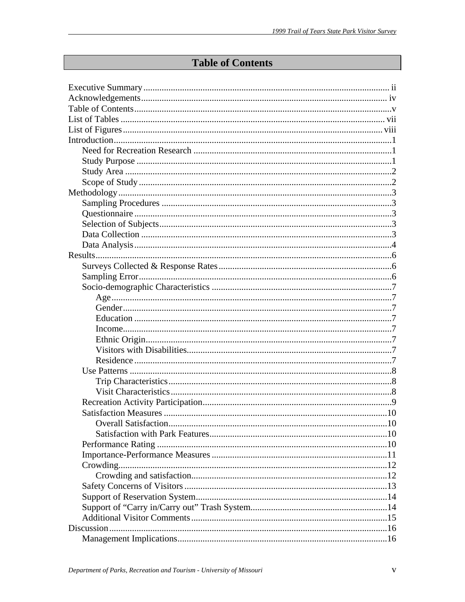# **Table of Contents**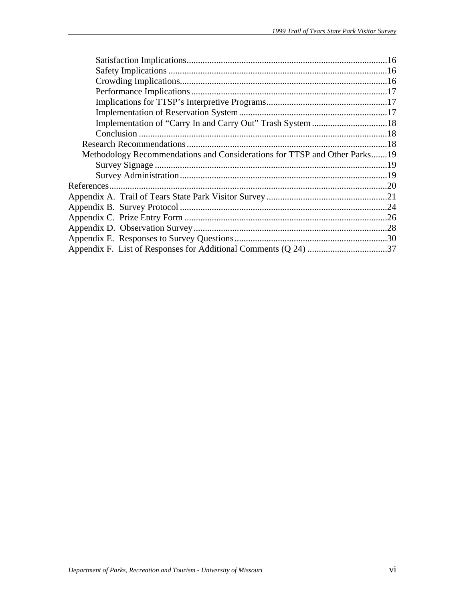| Methodology Recommendations and Considerations for TTSP and Other Parks19 |  |
|---------------------------------------------------------------------------|--|
|                                                                           |  |
|                                                                           |  |
|                                                                           |  |
|                                                                           |  |
|                                                                           |  |
|                                                                           |  |
|                                                                           |  |
|                                                                           |  |
|                                                                           |  |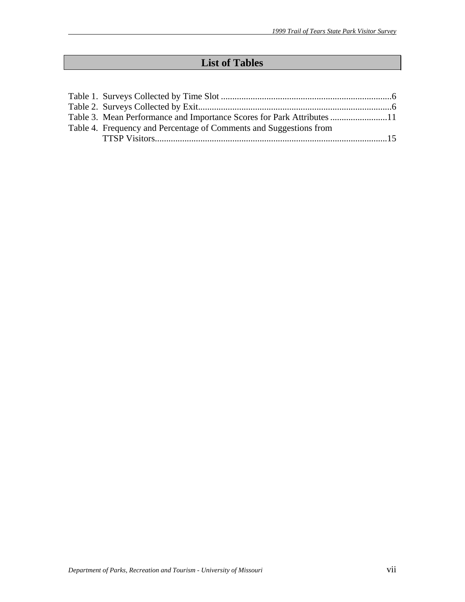# **List of Tables**

| Table 3. Mean Performance and Importance Scores for Park Attributes 11 |  |
|------------------------------------------------------------------------|--|
| Table 4. Frequency and Percentage of Comments and Suggestions from     |  |
|                                                                        |  |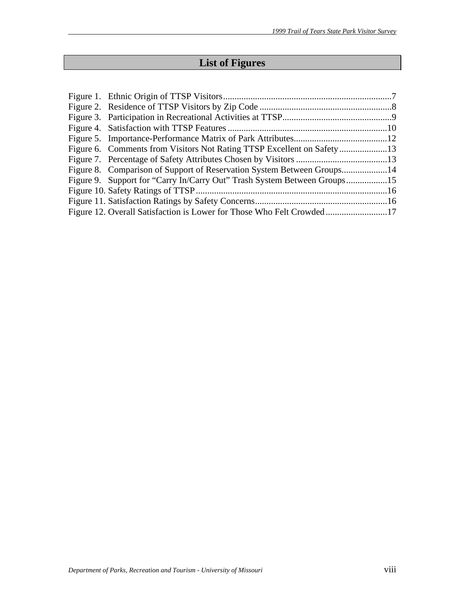# **List of Figures**

| Figure 8. Comparison of Support of Reservation System Between Groups14   |  |
|--------------------------------------------------------------------------|--|
| Figure 9. Support for "Carry In/Carry Out" Trash System Between Groups15 |  |
|                                                                          |  |
|                                                                          |  |
| Figure 12. Overall Satisfaction is Lower for Those Who Felt Crowded17    |  |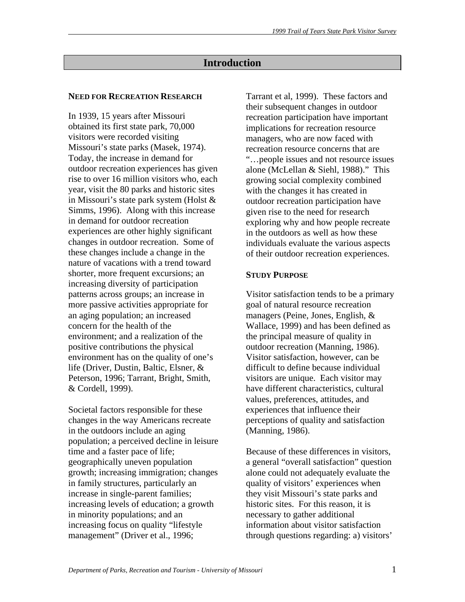# **Introduction**

#### **NEED FOR RECREATION RESEARCH**

In 1939, 15 years after Missouri obtained its first state park, 70,000 visitors were recorded visiting Missouri's state parks (Masek, 1974). Today, the increase in demand for outdoor recreation experiences has given rise to over 16 million visitors who, each year, visit the 80 parks and historic sites in Missouri's state park system (Holst & Simms, 1996). Along with this increase in demand for outdoor recreation experiences are other highly significant changes in outdoor recreation. Some of these changes include a change in the nature of vacations with a trend toward shorter, more frequent excursions; an increasing diversity of participation patterns across groups; an increase in more passive activities appropriate for an aging population; an increased concern for the health of the environment; and a realization of the positive contributions the physical environment has on the quality of one's life (Driver, Dustin, Baltic, Elsner, & Peterson, 1996; Tarrant, Bright, Smith, & Cordell, 1999).

Societal factors responsible for these changes in the way Americans recreate in the outdoors include an aging population; a perceived decline in leisure time and a faster pace of life; geographically uneven population growth; increasing immigration; changes in family structures, particularly an increase in single-parent families; increasing levels of education; a growth in minority populations; and an increasing focus on quality "lifestyle management" (Driver et al., 1996;

Tarrant et al, 1999). These factors and their subsequent changes in outdoor recreation participation have important implications for recreation resource managers, who are now faced with recreation resource concerns that are "…people issues and not resource issues alone (McLellan & Siehl, 1988)." This growing social complexity combined with the changes it has created in outdoor recreation participation have given rise to the need for research exploring why and how people recreate in the outdoors as well as how these individuals evaluate the various aspects of their outdoor recreation experiences.

#### **STUDY PURPOSE**

Visitor satisfaction tends to be a primary goal of natural resource recreation managers (Peine, Jones, English, & Wallace, 1999) and has been defined as the principal measure of quality in outdoor recreation (Manning, 1986). Visitor satisfaction, however, can be difficult to define because individual visitors are unique. Each visitor may have different characteristics, cultural values, preferences, attitudes, and experiences that influence their perceptions of quality and satisfaction (Manning, 1986).

Because of these differences in visitors, a general "overall satisfaction" question alone could not adequately evaluate the quality of visitors' experiences when they visit Missouri's state parks and historic sites. For this reason, it is necessary to gather additional information about visitor satisfaction through questions regarding: a) visitors'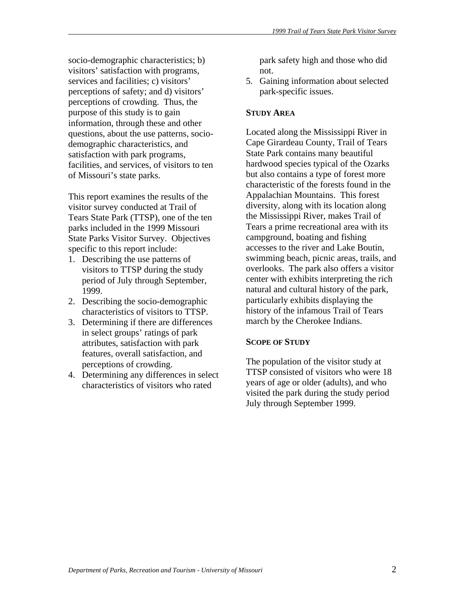socio-demographic characteristics; b) visitors' satisfaction with programs, services and facilities; c) visitors' perceptions of safety; and d) visitors' perceptions of crowding. Thus, the purpose of this study is to gain information, through these and other questions, about the use patterns, sociodemographic characteristics, and satisfaction with park programs, facilities, and services, of visitors to ten of Missouri's state parks.

This report examines the results of the visitor survey conducted at Trail of Tears State Park (TTSP), one of the ten parks included in the 1999 Missouri State Parks Visitor Survey. Objectives specific to this report include:

- 1. Describing the use patterns of visitors to TTSP during the study period of July through September, 1999.
- 2. Describing the socio-demographic characteristics of visitors to TTSP.
- 3. Determining if there are differences in select groups' ratings of park attributes, satisfaction with park features, overall satisfaction, and perceptions of crowding.
- 4. Determining any differences in select characteristics of visitors who rated

park safety high and those who did not.

5. Gaining information about selected park-specific issues.

## **STUDY AREA**

Located along the Mississippi River in Cape Girardeau County, Trail of Tears State Park contains many beautiful hardwood species typical of the Ozarks but also contains a type of forest more characteristic of the forests found in the Appalachian Mountains. This forest diversity, along with its location along the Mississippi River, makes Trail of Tears a prime recreational area with its campground, boating and fishing accesses to the river and Lake Boutin, swimming beach, picnic areas, trails, and overlooks. The park also offers a visitor center with exhibits interpreting the rich natural and cultural history of the park, particularly exhibits displaying the history of the infamous Trail of Tears march by the Cherokee Indians.

# **SCOPE OF STUDY**

The population of the visitor study at TTSP consisted of visitors who were 18 years of age or older (adults), and who visited the park during the study period July through September 1999.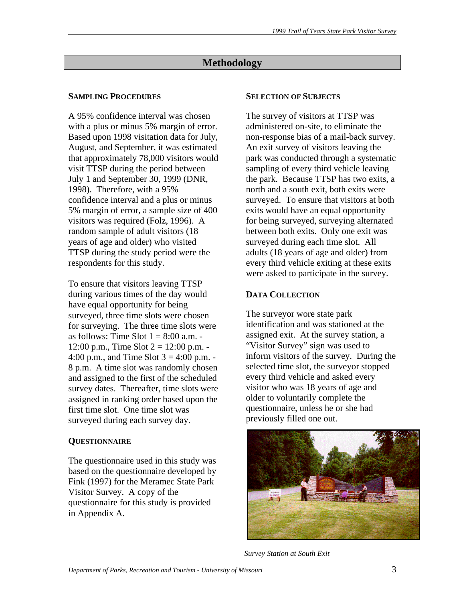# **Methodology**

# **SAMPLING PROCEDURES**

A 95% confidence interval was chosen with a plus or minus 5% margin of error. Based upon 1998 visitation data for July, August, and September, it was estimated that approximately 78,000 visitors would visit TTSP during the period between July 1 and September 30, 1999 (DNR, 1998). Therefore, with a 95% confidence interval and a plus or minus 5% margin of error, a sample size of 400 visitors was required (Folz, 1996). A random sample of adult visitors (18 years of age and older) who visited TTSP during the study period were the respondents for this study.

To ensure that visitors leaving TTSP during various times of the day would have equal opportunity for being surveyed, three time slots were chosen for surveying. The three time slots were as follows: Time Slot  $1 = 8:00$  a.m. -12:00 p.m., Time Slot  $2 = 12:00$  p.m. -4:00 p.m., and Time Slot  $3 = 4:00$  p.m. -8 p.m. A time slot was randomly chosen and assigned to the first of the scheduled survey dates. Thereafter, time slots were assigned in ranking order based upon the first time slot. One time slot was surveyed during each survey day.

# **QUESTIONNAIRE**

The questionnaire used in this study was based on the questionnaire developed by Fink (1997) for the Meramec State Park Visitor Survey. A copy of the questionnaire for this study is provided in Appendix A.

#### **SELECTION OF SUBJECTS**

The survey of visitors at TTSP was administered on-site, to eliminate the non-response bias of a mail-back survey. An exit survey of visitors leaving the park was conducted through a systematic sampling of every third vehicle leaving the park. Because TTSP has two exits, a north and a south exit, both exits were surveyed. To ensure that visitors at both exits would have an equal opportunity for being surveyed, surveying alternated between both exits. Only one exit was surveyed during each time slot. All adults (18 years of age and older) from every third vehicle exiting at these exits were asked to participate in the survey.

# **DATA COLLECTION**

The surveyor wore state park identification and was stationed at the assigned exit. At the survey station, a "Visitor Survey" sign was used to inform visitors of the survey. During the selected time slot, the surveyor stopped every third vehicle and asked every visitor who was 18 years of age and older to voluntarily complete the questionnaire, unless he or she had previously filled one out.



 *Survey Station at South Exit*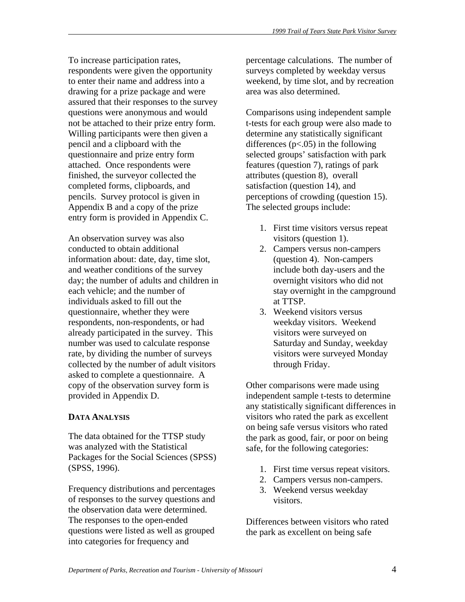To increase participation rates, respondents were given the opportunity to enter their name and address into a drawing for a prize package and were assured that their responses to the survey questions were anonymous and would not be attached to their prize entry form. Willing participants were then given a pencil and a clipboard with the questionnaire and prize entry form attached. Once respondents were finished, the surveyor collected the completed forms, clipboards, and pencils. Survey protocol is given in Appendix B and a copy of the prize entry form is provided in Appendix C.

An observation survey was also conducted to obtain additional information about: date, day, time slot, and weather conditions of the survey day; the number of adults and children in each vehicle; and the number of individuals asked to fill out the questionnaire, whether they were respondents, non-respondents, or had already participated in the survey. This number was used to calculate response rate, by dividing the number of surveys collected by the number of adult visitors asked to complete a questionnaire. A copy of the observation survey form is provided in Appendix D.

# **DATA ANALYSIS**

The data obtained for the TTSP study was analyzed with the Statistical Packages for the Social Sciences (SPSS) (SPSS, 1996).

Frequency distributions and percentages of responses to the survey questions and the observation data were determined. The responses to the open-ended questions were listed as well as grouped into categories for frequency and

percentage calculations. The number of surveys completed by weekday versus weekend, by time slot, and by recreation area was also determined.

Comparisons using independent sample t-tests for each group were also made to determine any statistically significant differences  $(p<.05)$  in the following selected groups' satisfaction with park features (question 7), ratings of park attributes (question 8), overall satisfaction (question 14), and perceptions of crowding (question 15). The selected groups include:

- 1. First time visitors versus repeat visitors (question 1).
- 2. Campers versus non-campers (question 4). Non-campers include both day-users and the overnight visitors who did not stay overnight in the campground at TTSP.
- 3. Weekend visitors versus weekday visitors. Weekend visitors were surveyed on Saturday and Sunday, weekday visitors were surveyed Monday through Friday.

Other comparisons were made using independent sample t-tests to determine any statistically significant differences in visitors who rated the park as excellent on being safe versus visitors who rated the park as good, fair, or poor on being safe, for the following categories:

- 1. First time versus repeat visitors.
- 2. Campers versus non-campers.
- 3. Weekend versus weekday visitors.

Differences between visitors who rated the park as excellent on being safe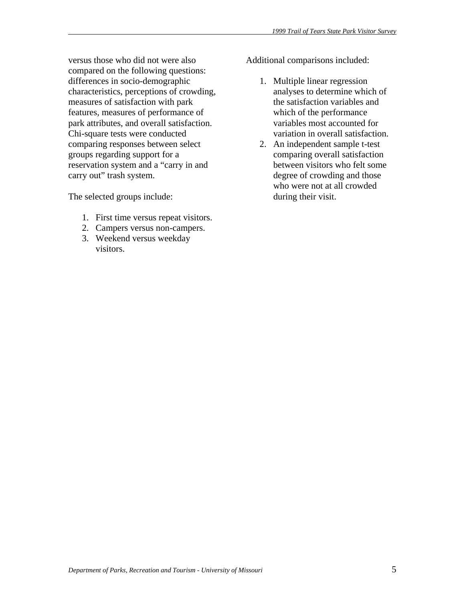versus those who did not were also compared on the following questions: differences in socio-demographic characteristics, perceptions of crowding, measures of satisfaction with park features, measures of performance of park attributes, and overall satisfaction. Chi-square tests were conducted comparing responses between select groups regarding support for a reservation system and a "carry in and carry out" trash system.

The selected groups include:

- 1. First time versus repeat visitors.
- 2. Campers versus non-campers.
- 3. Weekend versus weekday visitors.

Additional comparisons included:

- 1. Multiple linear regression analyses to determine which of the satisfaction variables and which of the performance variables most accounted for variation in overall satisfaction.
- 2. An independent sample t-test comparing overall satisfaction between visitors who felt some degree of crowding and those who were not at all crowded during their visit.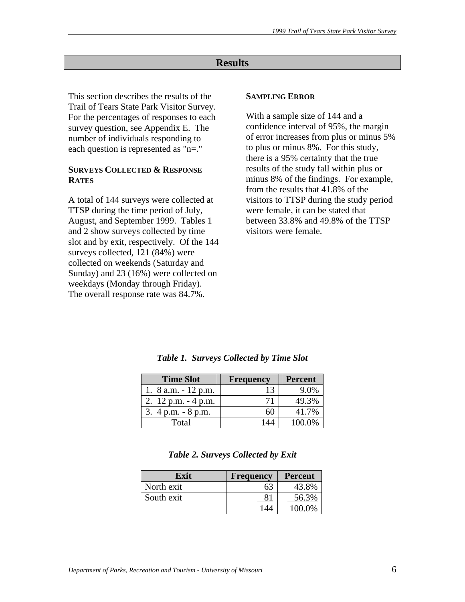# **Results**

This section describes the results of the Trail of Tears State Park Visitor Survey. For the percentages of responses to each survey question, see Appendix E. The number of individuals responding to each question is represented as "n=."

#### **SURVEYS COLLECTED & RESPONSE RATES**

A total of 144 surveys were collected at TTSP during the time period of July, August, and September 1999. Tables 1 and 2 show surveys collected by time slot and by exit, respectively. Of the 144 surveys collected, 121 (84%) were collected on weekends (Saturday and Sunday) and 23 (16%) were collected on weekdays (Monday through Friday). The overall response rate was 84.7%.

#### **SAMPLING ERROR**

With a sample size of 144 and a confidence interval of 95%, the margin of error increases from plus or minus 5% to plus or minus 8%. For this study, there is a 95% certainty that the true results of the study fall within plus or minus 8% of the findings. For example, from the results that 41.8% of the visitors to TTSP during the study period were female, it can be stated that between 33.8% and 49.8% of the TTSP visitors were female.

| <b>Time Slot</b>       | <b>Frequency</b> | <b>Percent</b> |
|------------------------|------------------|----------------|
| 1. $8$ a.m. $-12$ p.m. |                  | 9.0%           |
| 2. $12$ p.m. $-4$ p.m. |                  | 49.3%          |
| 3. $4 p.m. - 8 p.m.$   |                  |                |
| Total                  |                  |                |

*Table 1. Surveys Collected by Time Slot* 

| Table 2. Surveys Collected by Exit |  |  |  |  |  |  |
|------------------------------------|--|--|--|--|--|--|
|------------------------------------|--|--|--|--|--|--|

| Exit       | <b>Frequency</b> | Percent |
|------------|------------------|---------|
| North exit | 63               | 43.8%   |
| South exit |                  | 56.3%   |
|            | 144              | 100.0%  |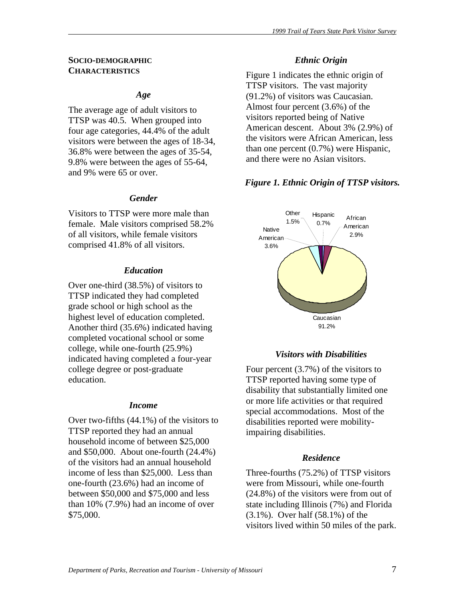#### **SOCIO-DEMOGRAPHIC CHARACTERISTICS**

#### *Age*

The average age of adult visitors to TTSP was 40.5. When grouped into four age categories, 44.4% of the adult visitors were between the ages of 18-34, 36.8% were between the ages of 35-54, 9.8% were between the ages of 55-64, and 9% were 65 or over.

#### *Gender*

Visitors to TTSP were more male than female. Male visitors comprised 58.2% of all visitors, while female visitors comprised 41.8% of all visitors.

#### *Education*

Over one-third (38.5%) of visitors to TTSP indicated they had completed grade school or high school as the highest level of education completed. Another third (35.6%) indicated having completed vocational school or some college, while one-fourth (25.9%) indicated having completed a four-year college degree or post-graduate education.

#### *Income*

Over two-fifths (44.1%) of the visitors to TTSP reported they had an annual household income of between \$25,000 and \$50,000. About one-fourth (24.4%) of the visitors had an annual household income of less than \$25,000. Less than one-fourth (23.6%) had an income of between \$50,000 and \$75,000 and less than 10% (7.9%) had an income of over \$75,000.

## *Ethnic Origin*

Figure 1 indicates the ethnic origin of TTSP visitors. The vast majority (91.2%) of visitors was Caucasian. Almost four percent (3.6%) of the visitors reported being of Native American descent. About 3% (2.9%) of the visitors were African American, less than one percent (0.7%) were Hispanic, and there were no Asian visitors.

## *Figure 1. Ethnic Origin of TTSP visitors.*



#### *Visitors with Disabilities*

Four percent (3.7%) of the visitors to TTSP reported having some type of disability that substantially limited one or more life activities or that required special accommodations. Most of the disabilities reported were mobilityimpairing disabilities.

#### *Residence*

Three-fourths (75.2%) of TTSP visitors were from Missouri, while one-fourth (24.8%) of the visitors were from out of state including Illinois (7%) and Florida (3.1%). Over half (58.1%) of the visitors lived within 50 miles of the park.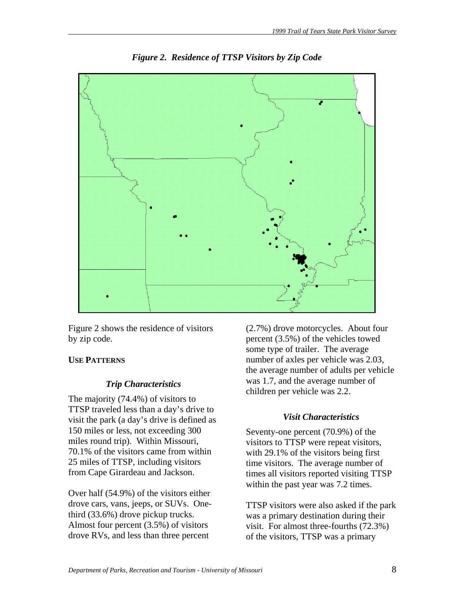

*Figure 2. Residence of TTSP Visitors by Zip Code* 

Figure 2 shows the residence of visitors by zip code.

# **USE PATTERNS**

# *Trip Characteristics*

The majority (74.4%) of visitors to TTSP traveled less than a day's drive to visit the park (a day's drive is defined as 150 miles or less, not exceeding 300 miles round trip). Within Missouri, 70.1% of the visitors came from within 25 miles of TTSP, including visitors from Cape Girardeau and Jackson.

Over half (54.9%) of the visitors either drove cars, vans, jeeps, or SUVs. Onethird (33.6%) drove pickup trucks. Almost four percent (3.5%) of visitors drove RVs, and less than three percent

(2.7%) drove motorcycles. About four percent (3.5%) of the vehicles towed some type of trailer. The average number of axles per vehicle was 2.03, the average number of adults per vehicle was 1.7, and the average number of children per vehicle was 2.2.

# *Visit Characteristics*

Seventy-one percent (70.9%) of the visitors to TTSP were repeat visitors, with 29.1% of the visitors being first time visitors. The average number of times all visitors reported visiting TTSP within the past year was 7.2 times.

TTSP visitors were also asked if the park was a primary destination during their visit. For almost three-fourths (72.3%) of the visitors, TTSP was a primary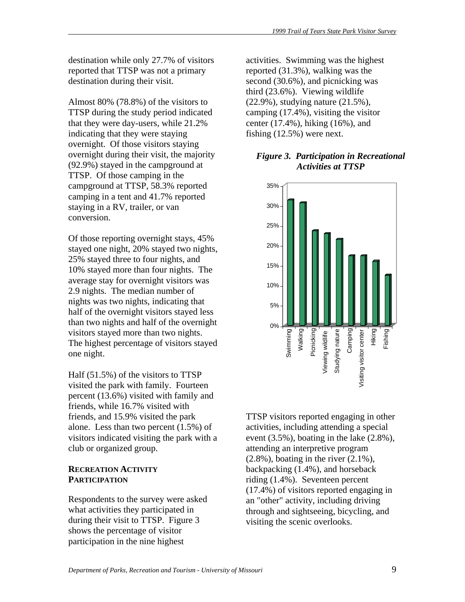destination while only 27.7% of visitors reported that TTSP was not a primary destination during their visit.

Almost 80% (78.8%) of the visitors to TTSP during the study period indicated that they were day-users, while 21.2% indicating that they were staying overnight. Of those visitors staying overnight during their visit, the majority (92.9%) stayed in the campground at TTSP. Of those camping in the campground at TTSP, 58.3% reported camping in a tent and 41.7% reported staying in a RV, trailer, or van conversion.

Of those reporting overnight stays, 45% stayed one night, 20% stayed two nights, 25% stayed three to four nights, and 10% stayed more than four nights. The average stay for overnight visitors was 2.9 nights. The median number of nights was two nights, indicating that half of the overnight visitors stayed less than two nights and half of the overnight visitors stayed more than two nights. The highest percentage of visitors stayed one night.

Half (51.5%) of the visitors to TTSP visited the park with family. Fourteen percent (13.6%) visited with family and friends, while 16.7% visited with friends, and 15.9% visited the park alone. Less than two percent (1.5%) of visitors indicated visiting the park with a club or organized group.

# **RECREATION ACTIVITY PARTICIPATION**

Respondents to the survey were asked what activities they participated in during their visit to TTSP. Figure 3 shows the percentage of visitor participation in the nine highest

activities. Swimming was the highest reported (31.3%), walking was the second (30.6%), and picnicking was third (23.6%). Viewing wildlife (22.9%), studying nature (21.5%), camping (17.4%), visiting the visitor center (17.4%), hiking (16%), and fishing (12.5%) were next.

## *Figure 3. Participation in Recreational Activities at TTSP*



TTSP visitors reported engaging in other activities, including attending a special event (3.5%), boating in the lake (2.8%), attending an interpretive program  $(2.8\%)$ , boating in the river  $(2.1\%)$ , backpacking  $(1.4\%)$ , and horseback riding (1.4%). Seventeen percent (17.4%) of visitors reported engaging in an "other" activity, including driving through and sightseeing, bicycling, and visiting the scenic overlooks.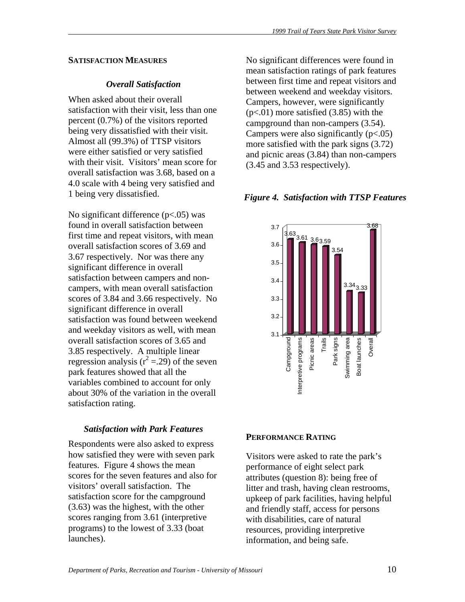#### **SATISFACTION MEASURES**

# *Overall Satisfaction*

When asked about their overall satisfaction with their visit, less than one percent (0.7%) of the visitors reported being very dissatisfied with their visit. Almost all (99.3%) of TTSP visitors were either satisfied or very satisfied with their visit. Visitors' mean score for overall satisfaction was 3.68, based on a 4.0 scale with 4 being very satisfied and 1 being very dissatisfied.

No significant difference  $(p<.05)$  was found in overall satisfaction between first time and repeat visitors, with mean overall satisfaction scores of 3.69 and 3.67 respectively. Nor was there any significant difference in overall satisfaction between campers and noncampers, with mean overall satisfaction scores of 3.84 and 3.66 respectively. No significant difference in overall satisfaction was found between weekend and weekday visitors as well, with mean overall satisfaction scores of 3.65 and 3.85 respectively. A multiple linear regression analysis ( $r^2 = 29$ ) of the seven park features showed that all the variables combined to account for only about 30% of the variation in the overall satisfaction rating.

# *Satisfaction with Park Features*

Respondents were also asked to express how satisfied they were with seven park features. Figure 4 shows the mean scores for the seven features and also for visitors' overall satisfaction. The satisfaction score for the campground (3.63) was the highest, with the other scores ranging from 3.61 (interpretive programs) to the lowest of 3.33 (boat launches).

No significant differences were found in mean satisfaction ratings of park features between first time and repeat visitors and between weekend and weekday visitors. Campers, however, were significantly  $(p<.01)$  more satisfied  $(3.85)$  with the campground than non-campers (3.54). Campers were also significantly  $(p<.05)$ more satisfied with the park signs (3.72) and picnic areas (3.84) than non-campers (3.45 and 3.53 respectively).

# *Figure 4. Satisfaction with TTSP Features*



#### **PERFORMANCE RATING**

Visitors were asked to rate the park's performance of eight select park attributes (question 8): being free of litter and trash, having clean restrooms, upkeep of park facilities, having helpful and friendly staff, access for persons with disabilities, care of natural resources, providing interpretive information, and being safe.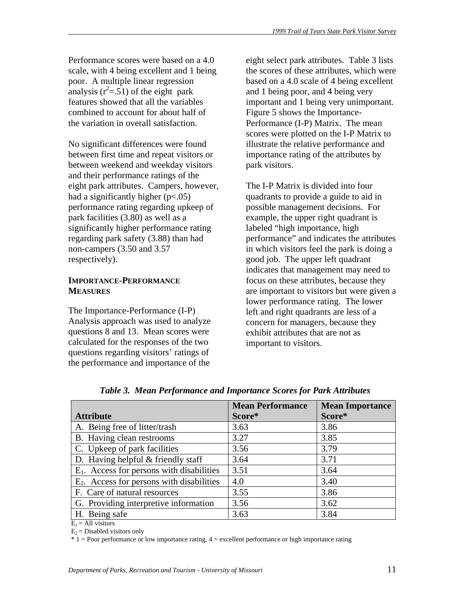Performance scores were based on a 4.0 scale, with 4 being excellent and 1 being poor. A multiple linear regression analysis  $(r^2 = .51)$  of the eight park features showed that all the variables combined to account for about half of the variation in overall satisfaction.

No significant differences were found between first time and repeat visitors or between weekend and weekday visitors and their performance ratings of the eight park attributes. Campers, however, had a significantly higher  $(p<.05)$ performance rating regarding upkeep of park facilities (3.80) as well as a significantly higher performance rating regarding park safety (3.88) than had non-campers (3.50 and 3.57 respectively).

# **IMPORTANCE-PERFORMANCE MEASURES**

The Importance-Performance (I-P) Analysis approach was used to analyze questions 8 and 13. Mean scores were calculated for the responses of the two questions regarding visitors' ratings of the performance and importance of the

eight select park attributes. Table 3 lists the scores of these attributes, which were based on a 4.0 scale of 4 being excellent and 1 being poor, and 4 being very important and 1 being very unimportant. Figure 5 shows the Importance-Performance (I-P) Matrix. The mean scores were plotted on the I-P Matrix to illustrate the relative performance and importance rating of the attributes by park visitors.

The I-P Matrix is divided into four quadrants to provide a guide to aid in possible management decisions. For example, the upper right quadrant is labeled "high importance, high performance" and indicates the attributes in which visitors feel the park is doing a good job. The upper left quadrant indicates that management may need to focus on these attributes, because they are important to visitors but were given a lower performance rating. The lower left and right quadrants are less of a concern for managers, because they exhibit attributes that are not as important to visitors.

|                                              | <b>Mean Performance</b> | <b>Mean Importance</b> |
|----------------------------------------------|-------------------------|------------------------|
| <b>Attribute</b>                             | Score*                  | Score*                 |
| A. Being free of litter/trash                | 3.63                    | 3.86                   |
| B. Having clean restrooms                    | 3.27                    | 3.85                   |
| C. Upkeep of park facilities                 | 3.56                    | 3.79                   |
| D. Having helpful $&$ friendly staff         | 3.64                    | 3.71                   |
| $E_1$ . Access for persons with disabilities | 3.51                    | 3.64                   |
| $E_2$ . Access for persons with disabilities | 4.0                     | 3.40                   |
| F. Care of natural resources                 | 3.55                    | 3.86                   |
| G. Providing interpretive information        | 3.56                    | 3.62                   |
| H. Being safe                                | 3.63                    | 3.84                   |
| $\Gamma = \Lambda 11$ visitors               |                         |                        |

*Table 3. Mean Performance and Importance Scores for Park Attributes* 

 $E_1$  = All visitors

 $E_2$  = Disabled visitors only

 $*$  1 = Poor performance or low importance rating,  $4$  = excellent performance or high importance rating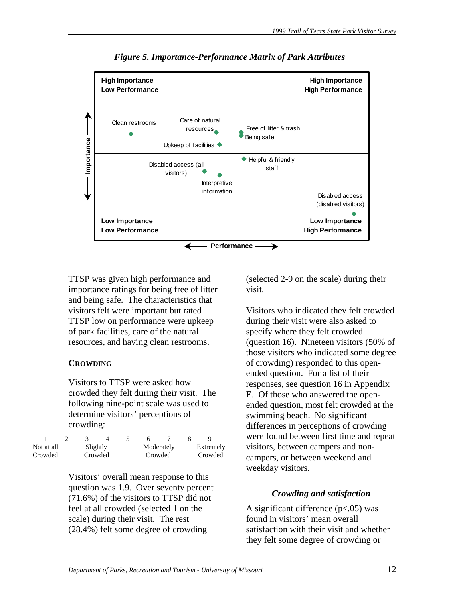

*Figure 5. Importance-Performance Matrix of Park Attributes* 

TTSP was given high performance and importance ratings for being free of litter and being safe. The characteristics that visitors felt were important but rated TTSP low on performance were upkeep of park facilities, care of the natural resources, and having clean restrooms.

#### **CROWDING**

Visitors to TTSP were asked how crowded they felt during their visit. The following nine-point scale was used to determine visitors' perceptions of crowding:

| Not at all | Slightly |  | Moderately |         | Extremely |  |         |
|------------|----------|--|------------|---------|-----------|--|---------|
| Crowded    | Crowded  |  |            | Crowded |           |  | Crowded |

Visitors' overall mean response to this question was 1.9. Over seventy percent (71.6%) of the visitors to TTSP did not feel at all crowded (selected 1 on the scale) during their visit. The rest (28.4%) felt some degree of crowding

(selected 2-9 on the scale) during their visit.

Visitors who indicated they felt crowded during their visit were also asked to specify where they felt crowded (question 16). Nineteen visitors (50% of those visitors who indicated some degree of crowding) responded to this openended question. For a list of their responses, see question 16 in Appendix E. Of those who answered the openended question, most felt crowded at the swimming beach. No significant differences in perceptions of crowding were found between first time and repeat visitors, between campers and noncampers, or between weekend and weekday visitors.

# *Crowding and satisfaction*

A significant difference (p<.05) was found in visitors' mean overall satisfaction with their visit and whether they felt some degree of crowding or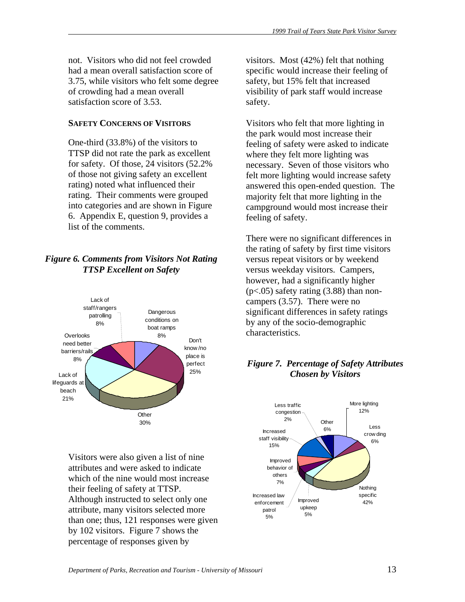not. Visitors who did not feel crowded had a mean overall satisfaction score of 3.75, while visitors who felt some degree of crowding had a mean overall satisfaction score of 3.53.

# **SAFETY CONCERNS OF VISITORS**

One-third (33.8%) of the visitors to TTSP did not rate the park as excellent for safety. Of those, 24 visitors (52.2% of those not giving safety an excellent rating) noted what influenced their rating. Their comments were grouped into categories and are shown in Figure 6. Appendix E, question 9, provides a list of the comments.

# *Figure 6. Comments from Visitors Not Rating TTSP Excellent on Safety*



Visitors were also given a list of nine attributes and were asked to indicate which of the nine would most increase their feeling of safety at TTSP. Although instructed to select only one attribute, many visitors selected more than one; thus, 121 responses were given by 102 visitors. Figure 7 shows the percentage of responses given by

visitors. Most (42%) felt that nothing specific would increase their feeling of safety, but 15% felt that increased visibility of park staff would increase safety.

Visitors who felt that more lighting in the park would most increase their feeling of safety were asked to indicate where they felt more lighting was necessary. Seven of those visitors who felt more lighting would increase safety answered this open-ended question. The majority felt that more lighting in the campground would most increase their feeling of safety.

There were no significant differences in the rating of safety by first time visitors versus repeat visitors or by weekend versus weekday visitors. Campers, however, had a significantly higher  $(p<.05)$  safety rating  $(3.88)$  than noncampers (3.57). There were no significant differences in safety ratings by any of the socio-demographic characteristics.

# *Figure 7. Percentage of Safety Attributes Chosen by Visitors*

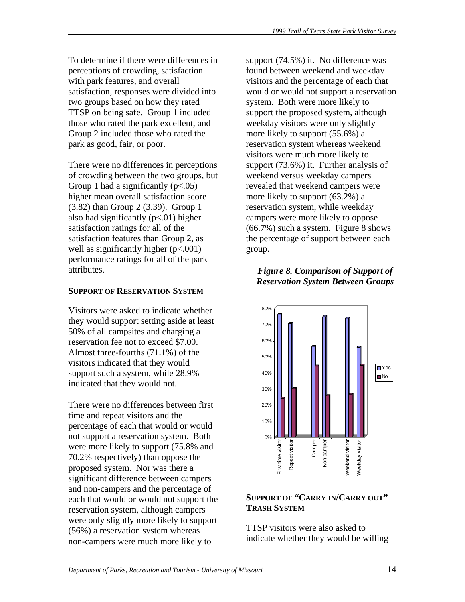To determine if there were differences in perceptions of crowding, satisfaction with park features, and overall satisfaction, responses were divided into two groups based on how they rated TTSP on being safe. Group 1 included those who rated the park excellent, and Group 2 included those who rated the park as good, fair, or poor.

There were no differences in perceptions of crowding between the two groups, but Group 1 had a significantly  $(p<.05)$ higher mean overall satisfaction score (3.82) than Group 2 (3.39). Group 1 also had significantly  $(p<.01)$  higher satisfaction ratings for all of the satisfaction features than Group 2, as well as significantly higher ( $p<.001$ ) performance ratings for all of the park attributes.

# **SUPPORT OF RESERVATION SYSTEM**

Visitors were asked to indicate whether they would support setting aside at least 50% of all campsites and charging a reservation fee not to exceed \$7.00. Almost three-fourths (71.1%) of the visitors indicated that they would support such a system, while 28.9% indicated that they would not.

There were no differences between first time and repeat visitors and the percentage of each that would or would not support a reservation system. Both were more likely to support (75.8% and 70.2% respectively) than oppose the proposed system. Nor was there a significant difference between campers and non-campers and the percentage of each that would or would not support the reservation system, although campers were only slightly more likely to support (56%) a reservation system whereas non-campers were much more likely to

support (74.5%) it. No difference was found between weekend and weekday visitors and the percentage of each that would or would not support a reservation system. Both were more likely to support the proposed system, although weekday visitors were only slightly more likely to support (55.6%) a reservation system whereas weekend visitors were much more likely to support (73.6%) it. Further analysis of weekend versus weekday campers revealed that weekend campers were more likely to support (63.2%) a reservation system, while weekday campers were more likely to oppose (66.7%) such a system. Figure 8 shows the percentage of support between each group.

# *Figure 8. Comparison of Support of Reservation System Between Groups*



# **SUPPORT OF "CARRY IN/CARRY OUT" TRASH SYSTEM**

TTSP visitors were also asked to indicate whether they would be willing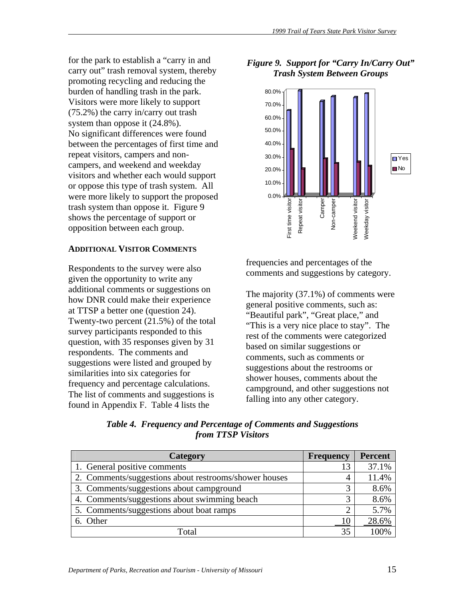for the park to establish a "carry in and carry out" trash removal system, thereby promoting recycling and reducing the burden of handling trash in the park. Visitors were more likely to support (75.2%) the carry in/carry out trash system than oppose it (24.8%). No significant differences were found between the percentages of first time and repeat visitors, campers and noncampers, and weekend and weekday visitors and whether each would support or oppose this type of trash system. All were more likely to support the proposed trash system than oppose it. Figure 9 shows the percentage of support or opposition between each group.

# **ADDITIONAL VISITOR COMMENTS**

Respondents to the survey were also given the opportunity to write any additional comments or suggestions on how DNR could make their experience at TTSP a better one (question 24). Twenty-two percent (21.5%) of the total survey participants responded to this question, with 35 responses given by 31 respondents. The comments and suggestions were listed and grouped by similarities into six categories for frequency and percentage calculations. The list of comments and suggestions is found in Appendix F. Table 4 lists the

*Figure 9. Support for "Carry In/Carry Out" Trash System Between Groups* 



frequencies and percentages of the comments and suggestions by category.

The majority (37.1%) of comments were general positive comments, such as: "Beautiful park", "Great place," and "This is a very nice place to stay". The rest of the comments were categorized based on similar suggestions or comments, such as comments or suggestions about the restrooms or shower houses, comments about the campground, and other suggestions not falling into any other category.

| Category                                              | <b>Frequency</b> | <b>Percent</b> |
|-------------------------------------------------------|------------------|----------------|
| 1. General positive comments                          |                  | 37.1%          |
| 2. Comments/suggestions about restrooms/shower houses | 4                | 11.4%          |
| 3. Comments/suggestions about campground              |                  | 8.6%           |
| 4. Comments/suggestions about swimming beach          | 3                | 8.6%           |
| 5. Comments/suggestions about boat ramps              |                  | 5.7%           |
| 6. Other                                              |                  | 28.6%          |
| Total                                                 | 35               |                |

*Table 4. Frequency and Percentage of Comments and Suggestions from TTSP Visitors*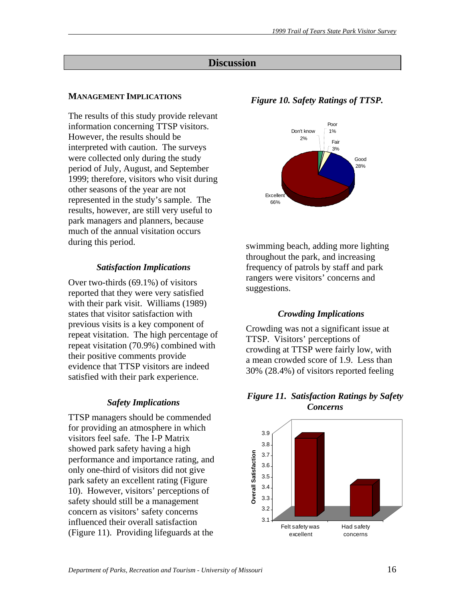# **Discussion**

# **MANAGEMENT IMPLICATIONS**

The results of this study provide relevant information concerning TTSP visitors. However, the results should be interpreted with caution. The surveys were collected only during the study period of July, August, and September 1999; therefore, visitors who visit during other seasons of the year are not represented in the study's sample. The results, however, are still very useful to park managers and planners, because much of the annual visitation occurs during this period.

## *Satisfaction Implications*

Over two-thirds (69.1%) of visitors reported that they were very satisfied with their park visit. Williams (1989) states that visitor satisfaction with previous visits is a key component of repeat visitation. The high percentage of repeat visitation (70.9%) combined with their positive comments provide evidence that TTSP visitors are indeed satisfied with their park experience.

#### *Safety Implications*

TTSP managers should be commended for providing an atmosphere in which visitors feel safe. The I-P Matrix showed park safety having a high performance and importance rating, and only one-third of visitors did not give park safety an excellent rating (Figure 10). However, visitors' perceptions of safety should still be a management concern as visitors' safety concerns influenced their overall satisfaction (Figure 11). Providing lifeguards at the

# *Figure 10. Safety Ratings of TTSP.*



swimming beach, adding more lighting throughout the park, and increasing frequency of patrols by staff and park rangers were visitors' concerns and suggestions.

#### *Crowding Implications*

Crowding was not a significant issue at TTSP. Visitors' perceptions of crowding at TTSP were fairly low, with a mean crowded score of 1.9. Less than 30% (28.4%) of visitors reported feeling

#### *Figure 11. Satisfaction Ratings by Safety Concerns*

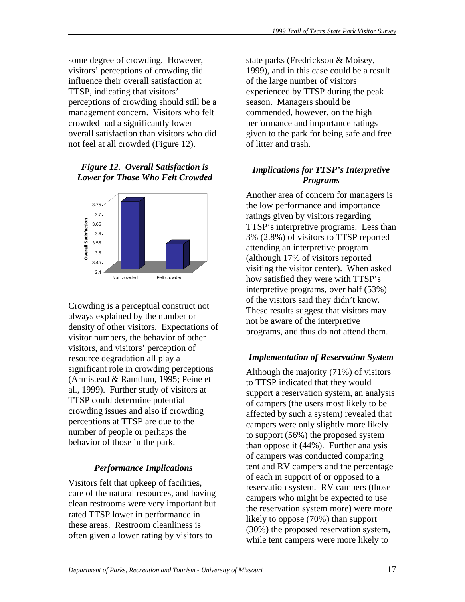some degree of crowding. However, visitors' perceptions of crowding did influence their overall satisfaction at TTSP, indicating that visitors' perceptions of crowding should still be a management concern. Visitors who felt crowded had a significantly lower overall satisfaction than visitors who did not feel at all crowded (Figure 12).

## *Figure 12. Overall Satisfaction is Lower for Those Who Felt Crowded*



Crowding is a perceptual construct not always explained by the number or density of other visitors. Expectations of visitor numbers, the behavior of other visitors, and visitors' perception of resource degradation all play a significant role in crowding perceptions (Armistead & Ramthun, 1995; Peine et al., 1999). Further study of visitors at TTSP could determine potential crowding issues and also if crowding perceptions at TTSP are due to the number of people or perhaps the behavior of those in the park.

# *Performance Implications*

Visitors felt that upkeep of facilities, care of the natural resources, and having clean restrooms were very important but rated TTSP lower in performance in these areas. Restroom cleanliness is often given a lower rating by visitors to

state parks (Fredrickson & Moisey, 1999), and in this case could be a result of the large number of visitors experienced by TTSP during the peak season. Managers should be commended, however, on the high performance and importance ratings given to the park for being safe and free of litter and trash.

# *Implications for TTSP's Interpretive Programs*

Another area of concern for managers is the low performance and importance ratings given by visitors regarding TTSP's interpretive programs. Less than 3% (2.8%) of visitors to TTSP reported attending an interpretive program (although 17% of visitors reported visiting the visitor center). When asked how satisfied they were with TTSP's interpretive programs, over half (53%) of the visitors said they didn't know. These results suggest that visitors may not be aware of the interpretive programs, and thus do not attend them.

# *Implementation of Reservation System*

Although the majority (71%) of visitors to TTSP indicated that they would support a reservation system, an analysis of campers (the users most likely to be affected by such a system) revealed that campers were only slightly more likely to support (56%) the proposed system than oppose it (44%). Further analysis of campers was conducted comparing tent and RV campers and the percentage of each in support of or opposed to a reservation system. RV campers (those campers who might be expected to use the reservation system more) were more likely to oppose (70%) than support (30%) the proposed reservation system, while tent campers were more likely to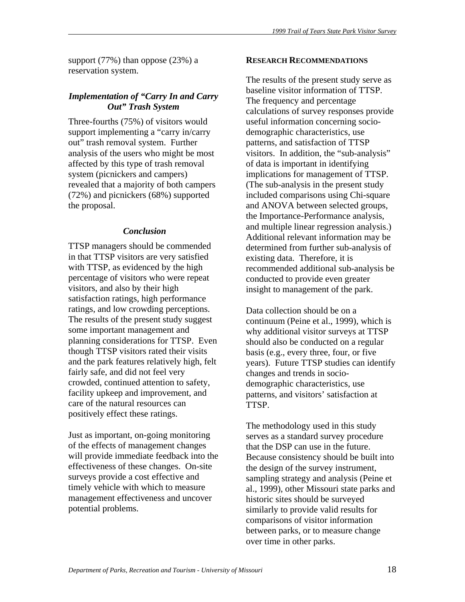support (77%) than oppose (23%) a reservation system.

#### *Implementation of "Carry In and Carry Out" Trash System*

Three-fourths (75%) of visitors would support implementing a "carry in/carry out" trash removal system. Further analysis of the users who might be most affected by this type of trash removal system (picnickers and campers) revealed that a majority of both campers (72%) and picnickers (68%) supported the proposal.

#### *Conclusion*

TTSP managers should be commended in that TTSP visitors are very satisfied with TTSP, as evidenced by the high percentage of visitors who were repeat visitors, and also by their high satisfaction ratings, high performance ratings, and low crowding perceptions. The results of the present study suggest some important management and planning considerations for TTSP. Even though TTSP visitors rated their visits and the park features relatively high, felt fairly safe, and did not feel very crowded, continued attention to safety, facility upkeep and improvement, and care of the natural resources can positively effect these ratings.

Just as important, on-going monitoring of the effects of management changes will provide immediate feedback into the effectiveness of these changes. On-site surveys provide a cost effective and timely vehicle with which to measure management effectiveness and uncover potential problems.

#### **RESEARCH RECOMMENDATIONS**

The results of the present study serve as baseline visitor information of TTSP. The frequency and percentage calculations of survey responses provide useful information concerning sociodemographic characteristics, use patterns, and satisfaction of TTSP visitors. In addition, the "sub-analysis" of data is important in identifying implications for management of TTSP. (The sub-analysis in the present study included comparisons using Chi-square and ANOVA between selected groups, the Importance-Performance analysis, and multiple linear regression analysis.) Additional relevant information may be determined from further sub-analysis of existing data. Therefore, it is recommended additional sub-analysis be conducted to provide even greater insight to management of the park.

Data collection should be on a continuum (Peine et al., 1999), which is why additional visitor surveys at TTSP should also be conducted on a regular basis (e.g., every three, four, or five years). Future TTSP studies can identify changes and trends in sociodemographic characteristics, use patterns, and visitors' satisfaction at TTSP.

The methodology used in this study serves as a standard survey procedure that the DSP can use in the future. Because consistency should be built into the design of the survey instrument, sampling strategy and analysis (Peine et al., 1999), other Missouri state parks and historic sites should be surveyed similarly to provide valid results for comparisons of visitor information between parks, or to measure change over time in other parks.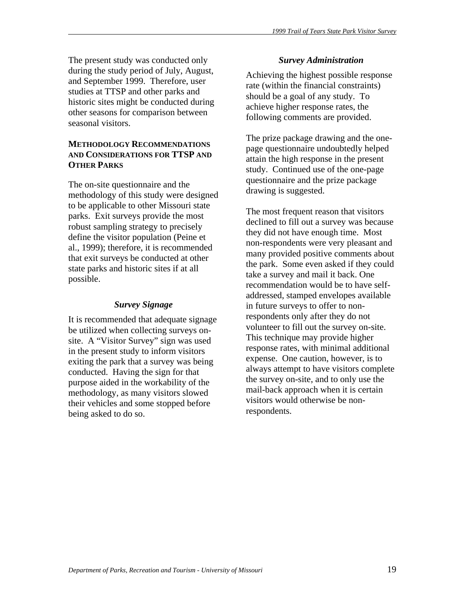The present study was conducted only during the study period of July, August, and September 1999. Therefore, user studies at TTSP and other parks and historic sites might be conducted during other seasons for comparison between seasonal visitors.

# **METHODOLOGY RECOMMENDATIONS AND CONSIDERATIONS FOR TTSP AND OTHER PARKS**

The on-site questionnaire and the methodology of this study were designed to be applicable to other Missouri state parks. Exit surveys provide the most robust sampling strategy to precisely define the visitor population (Peine et al., 1999); therefore, it is recommended that exit surveys be conducted at other state parks and historic sites if at all possible.

# *Survey Signage*

It is recommended that adequate signage be utilized when collecting surveys onsite. A "Visitor Survey" sign was used in the present study to inform visitors exiting the park that a survey was being conducted. Having the sign for that purpose aided in the workability of the methodology, as many visitors slowed their vehicles and some stopped before being asked to do so.

#### *Survey Administration*

Achieving the highest possible response rate (within the financial constraints) should be a goal of any study. To achieve higher response rates, the following comments are provided.

The prize package drawing and the onepage questionnaire undoubtedly helped attain the high response in the present study. Continued use of the one-page questionnaire and the prize package drawing is suggested.

The most frequent reason that visitors declined to fill out a survey was because they did not have enough time. Most non-respondents were very pleasant and many provided positive comments about the park. Some even asked if they could take a survey and mail it back. One recommendation would be to have selfaddressed, stamped envelopes available in future surveys to offer to nonrespondents only after they do not volunteer to fill out the survey on-site. This technique may provide higher response rates, with minimal additional expense. One caution, however, is to always attempt to have visitors complete the survey on-site, and to only use the mail-back approach when it is certain visitors would otherwise be nonrespondents.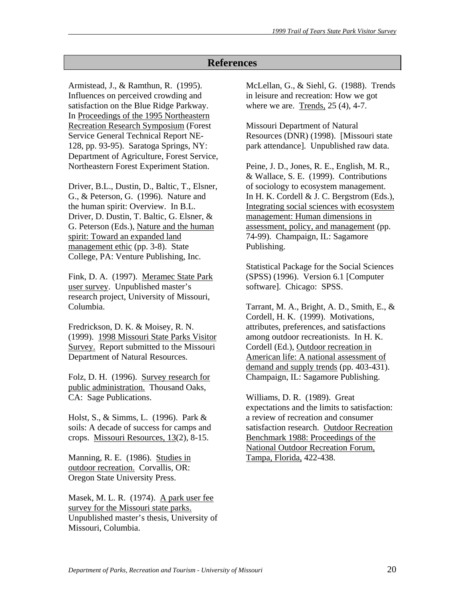# **References**

Armistead, J., & Ramthun, R. (1995). Influences on perceived crowding and satisfaction on the Blue Ridge Parkway. In Proceedings of the 1995 Northeastern Recreation Research Symposium (Forest Service General Technical Report NE-128, pp. 93-95). Saratoga Springs, NY: Department of Agriculture, Forest Service, Northeastern Forest Experiment Station.

Driver, B.L., Dustin, D., Baltic, T., Elsner, G., & Peterson, G. (1996). Nature and the human spirit: Overview. In B.L. Driver, D. Dustin, T. Baltic, G. Elsner, & G. Peterson (Eds.), Nature and the human spirit: Toward an expanded land management ethic (pp. 3-8). State College, PA: Venture Publishing, Inc.

Fink, D. A. (1997). Meramec State Park user survey. Unpublished master's research project, University of Missouri, Columbia.

Fredrickson, D. K. & Moisey, R. N. (1999). 1998 Missouri State Parks Visitor Survey. Report submitted to the Missouri Department of Natural Resources.

Folz, D. H. (1996). Survey research for public administration. Thousand Oaks, CA: Sage Publications.

Holst, S., & Simms, L. (1996). Park & soils: A decade of success for camps and crops. Missouri Resources, 13(2), 8-15.

Manning, R. E. (1986). Studies in outdoor recreation. Corvallis, OR: Oregon State University Press.

Masek, M. L. R. (1974). A park user fee survey for the Missouri state parks. Unpublished master's thesis, University of Missouri, Columbia.

McLellan, G., & Siehl, G. (1988). Trends in leisure and recreation: How we got where we are. Trends, 25 (4), 4-7.

Missouri Department of Natural Resources (DNR) (1998). [Missouri state park attendance]. Unpublished raw data.

Peine, J. D., Jones, R. E., English, M. R., & Wallace, S. E. (1999). Contributions of sociology to ecosystem management. In H. K. Cordell & J. C. Bergstrom (Eds.), Integrating social sciences with ecosystem management: Human dimensions in assessment, policy, and management (pp. 74-99). Champaign, IL: Sagamore Publishing.

Statistical Package for the Social Sciences (SPSS) (1996). Version 6.1 [Computer software]. Chicago: SPSS.

Tarrant, M. A., Bright, A. D., Smith, E., & Cordell, H. K. (1999). Motivations, attributes, preferences, and satisfactions among outdoor recreationists. In H. K. Cordell (Ed.), Outdoor recreation in American life: A national assessment of demand and supply trends (pp. 403-431). Champaign, IL: Sagamore Publishing.

Williams, D. R. (1989). Great expectations and the limits to satisfaction: a review of recreation and consumer satisfaction research. Outdoor Recreation Benchmark 1988: Proceedings of the National Outdoor Recreation Forum, Tampa, Florida, 422-438.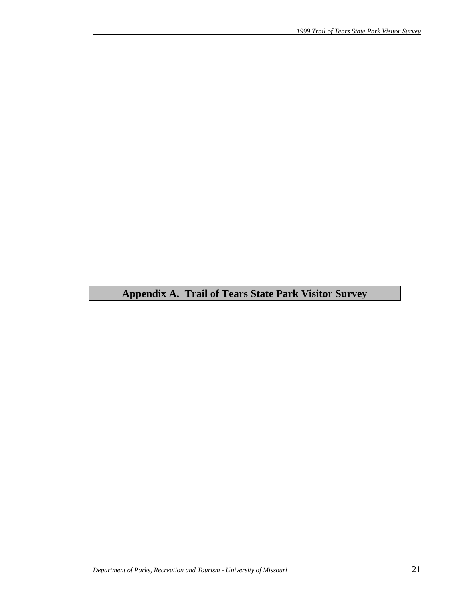# **Appendix A. Trail of Tears State Park Visitor Survey**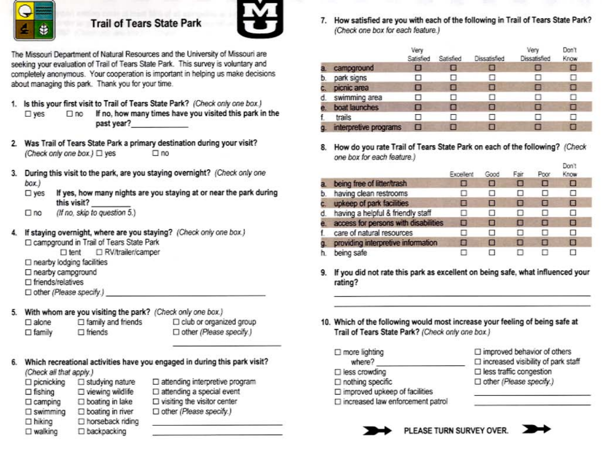

# **Trail of Tears State Park**



The Missouri Department of Natural Resources and the University of Missouri are seeking your evaluation of Trail of Tears State Park. This survey is voluntary and completely anonymous. Your cooperation is important in helping us make decisions about managing this park. Thank you for your time.

- 1. Is this your first visit to Trail of Tears State Park? (Check only one box.)
	- If no, how many times have you visited this park in the  $\square$  yes  $\square$  no past year?
- 2. Was Trail of Tears State Park a primary destination during your visit? (Check only one box.) □ yes  $\square$ no
- 3. During this visit to the park, are you staying overnight? (Check only one  $box.)$ 
	- If yes, how many nights are you staying at or near the park during  $\square$  yes this visit?
	- (If no. skip to question 5.)  $\square$  no
- If staying overnight, where are you staying? (Check only one box.) □ campground in Trail of Tears State Park
	- □ RV/trailer/camper  $\square$  tent
	- $\Box$  nearby lodging facilities
	- □ nearby campground
	- $\Box$  friends/relatives
	- $\Box$  other (Please specify.)
- 5. With whom are you visiting the park? (Check only one box.)

 $\square$  alone  $\Box$  family and friends  $\square$  family  $\Box$  friends

- □ club or organized group □ other (Please specify.)
- Which recreational activities have you engaged in during this park visit? (Check all that apply.)
	- $\square$  picnicking  $\square$  studying nature □ viewing wildlife  $\Box$  fishing  $\Box$  boating in lake  $\Box$  camping  $\Box$  swimming  $\Box$  boating in river □ horseback riding  $\square$  hiking  $\square$  walking D backpacking

 $\square$  attending interpretive program  $\square$  attending a special event  $\square$  visiting the visitor center

□ other (Please specify.) <u> Pierre de l'Albert de la</u> 7. How satisfied are you with each of the following in Trail of Tears State Park? (Check one box for each feature.)

|                       | Very<br>Satisfied | Satisfied | Dissatisfied | Ven<br>Dissatisfied | Don't<br>Know |  |
|-----------------------|-------------------|-----------|--------------|---------------------|---------------|--|
| campground            |                   | о         |              | о                   | п             |  |
| park signs            |                   |           |              | ⊔                   | Ш             |  |
| picnic area           | I w               | п         | E.           | п                   | п             |  |
| swimming area         |                   | п         |              | м                   | Ω             |  |
| boat launches         |                   | B         |              | Ξ                   | ◘             |  |
| trails                |                   |           |              | п                   |               |  |
| interpretive programs | ▬                 | п         |              | п                   | п             |  |

8. How do you rate Trail of Tears State Park on each of the following? (Check one box for each feature.)

|    |                                      | Excellent | Good     | Fair | Poor | ו הטע<br>Know |  |
|----|--------------------------------------|-----------|----------|------|------|---------------|--|
| a. | being free of litter/trash           | Ł.        | e        |      | П    | о             |  |
| b. | having clean restrooms               |           | $\cdots$ |      | п    | U             |  |
|    | upkeep of park facilities            | в         | □        | B    | Ξ    | Е             |  |
| d. | having a helpful & friendly staff    |           |          |      | н    | U             |  |
|    | access for persons with disabilities | п         | п        | п    | п    | Ξ             |  |
|    | care of natural resources            |           |          |      |      | □             |  |
| a  | providing interpretive information   | a         | l al     | п    | п    | i w i         |  |
|    | being safe                           |           |          |      |      |               |  |

- 9. If you did not rate this park as excellent on being safe, what influenced your rating?
- 10. Which of the following would most increase your feeling of being safe at Trail of Tears State Park? (Check only one box.)
	- $\Box$  improved behavior of others  $\Box$  increased visibility of park staff □ less traffic congestion □ other (Please specify.)  $\square$  nothing specific  $\square$  improved upkeep of facilities
		-

 $\Box$  more lighting

 $\square$  less crowding

where?



□ increased law enforcement patrol



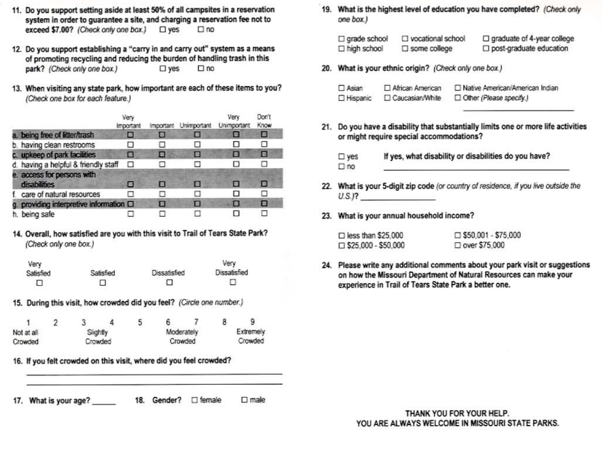- 11. Do you support setting aside at least 50% of all campsites in a reservation system in order to guarantee a site, and charging a reservation fee not to exceed \$7.00? (Check only one box.) □ yes  $\square$  no
- 12. Do you support establishing a "carry in and carry out" system as a means of promoting recycling and reducing the burden of handling trash in this park? (Check only one box.)  $\square$  yes  $\square$  no
- 13. When visiting any state park, how important are each of these items to you? (Check one box for each feature.)

|                                            | Very<br>Important |   | Important Unimportant Unimportant | Very | Don't<br>Know |
|--------------------------------------------|-------------------|---|-----------------------------------|------|---------------|
| a. being free of litter/trash              |                   |   |                                   |      | ▣             |
| b. having clean restrooms                  |                   |   |                                   | п    |               |
| c. upkeep of park facilities               | o                 | о |                                   | п    | п             |
| d. having a helpful & friendly staff       |                   |   |                                   | ш    |               |
| e. access for persons with<br>disabilities | m                 | п |                                   | п    | о             |
| f. care of natural resources               |                   |   |                                   | п    | п             |
| g. providing interpretive information O    |                   | о | ы                                 | п    | о             |
| h. being safe                              |                   |   |                                   | п    |               |

#### 14. Overall, how satisfied are you with this visit to Trail of Tears State Park? (Check only one box.)

| Very      |           |              | Very                |
|-----------|-----------|--------------|---------------------|
| Satisfied | Satisfied | Dissatisfied | <b>Dissatisfied</b> |
|           |           |              |                     |

15. During this visit, how crowded did you feel? (Circle one number.)

|            |  |          |  |            | 9         |
|------------|--|----------|--|------------|-----------|
| Not at all |  | Slightly |  | Moderately | Extremely |
| Crowded    |  | Crowded  |  | Crowded    | Crowded   |

16. If you felt crowded on this visit, where did you feel crowded?

17. What is your age? 18. Gender? 
<sub>D</sub> female  $\square$  male 19. What is the highest level of education you have completed? (Check only one box.)

| $\square$ grade school | □ vocational school    | □ graduate of 4-year college |
|------------------------|------------------------|------------------------------|
| □ high school          | $\square$ some college | post-graduate education      |

20. What is your ethnic origin? (Check only one box.)

| $\Box$ Asian | African American | □ Native American/American Indian |
|--------------|------------------|-----------------------------------|
| □ Hispanic   | Caucasian/White  | Other (Please specify.)           |

- 21. Do you have a disability that substantially limits one or more life activities or might require special accommodations?
	- If yes, what disability or disabilities do you have?  $\square$  yes  $\Box$  no
- 22. What is your 5-digit zip code (or country of residence, if you live outside the  $U.S.J?$
- 23. What is your annual household income?

| $\Box$ less than \$25,000  | $\Box$ \$50,001 - \$75,000 |
|----------------------------|----------------------------|
| $\Box$ \$25,000 - \$50,000 | □ over \$75,000            |

24. Please write any additional comments about your park visit or suggestions on how the Missouri Department of Natural Resources can make your experience in Trail of Tears State Park a better one.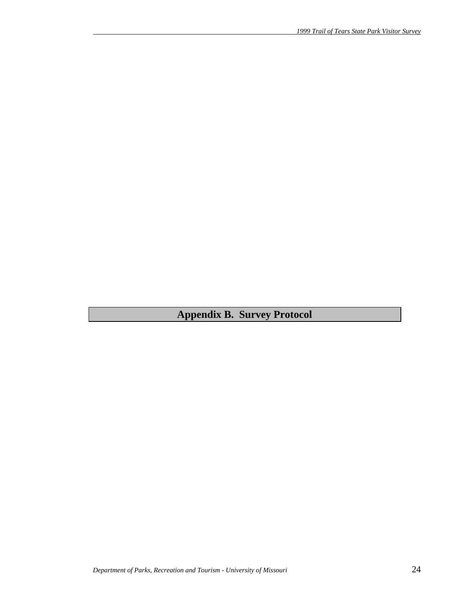**Appendix B. Survey Protocol**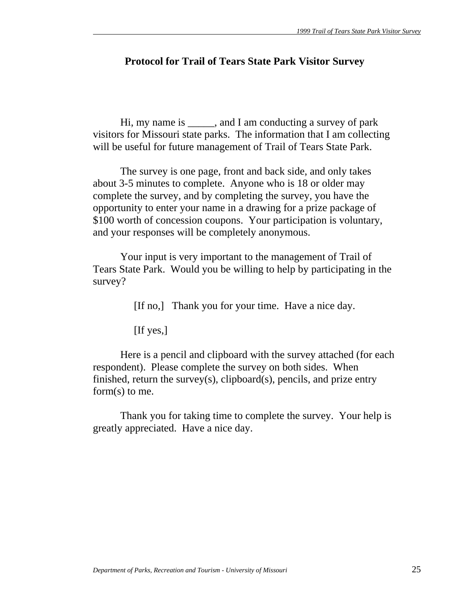# **Protocol for Trail of Tears State Park Visitor Survey**

 Hi, my name is \_\_\_\_\_, and I am conducting a survey of park visitors for Missouri state parks. The information that I am collecting will be useful for future management of Trail of Tears State Park.

 The survey is one page, front and back side, and only takes about 3-5 minutes to complete. Anyone who is 18 or older may complete the survey, and by completing the survey, you have the opportunity to enter your name in a drawing for a prize package of \$100 worth of concession coupons. Your participation is voluntary, and your responses will be completely anonymous.

 Your input is very important to the management of Trail of Tears State Park. Would you be willing to help by participating in the survey?

[If no,] Thank you for your time. Have a nice day.

[If yes,]

 Here is a pencil and clipboard with the survey attached (for each respondent). Please complete the survey on both sides. When finished, return the survey(s), clipboard(s), pencils, and prize entry form(s) to me.

 Thank you for taking time to complete the survey. Your help is greatly appreciated. Have a nice day.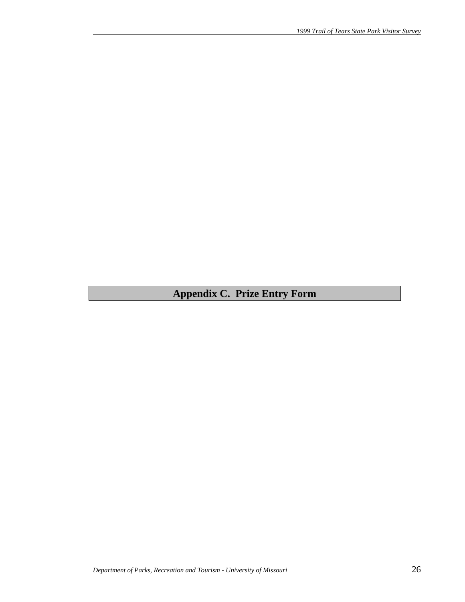# **Appendix C. Prize Entry Form**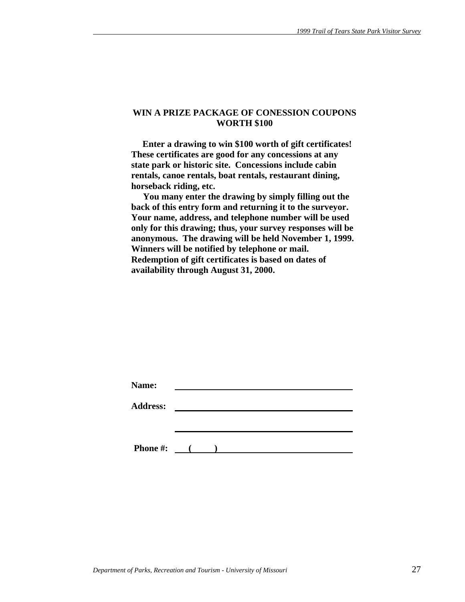#### **WIN A PRIZE PACKAGE OF CONESSION COUPONS WORTH \$100**

 **Enter a drawing to win \$100 worth of gift certificates! These certificates are good for any concessions at any state park or historic site. Concessions include cabin rentals, canoe rentals, boat rentals, restaurant dining, horseback riding, etc.** 

 **You many enter the drawing by simply filling out the back of this entry form and returning it to the surveyor. Your name, address, and telephone number will be used only for this drawing; thus, your survey responses will be anonymous. The drawing will be held November 1, 1999. Winners will be notified by telephone or mail. Redemption of gift certificates is based on dates of availability through August 31, 2000.** 

| Name:           |                                                                                                                                                                                                                                                                                                                                    |  |  |  |
|-----------------|------------------------------------------------------------------------------------------------------------------------------------------------------------------------------------------------------------------------------------------------------------------------------------------------------------------------------------|--|--|--|
| <b>Address:</b> |                                                                                                                                                                                                                                                                                                                                    |  |  |  |
|                 |                                                                                                                                                                                                                                                                                                                                    |  |  |  |
|                 |                                                                                                                                                                                                                                                                                                                                    |  |  |  |
| <b>Phone #:</b> | $\overline{a}$ and $\overline{a}$ and $\overline{a}$ and $\overline{a}$ and $\overline{a}$ and $\overline{a}$ and $\overline{a}$ and $\overline{a}$ and $\overline{a}$ and $\overline{a}$ and $\overline{a}$ and $\overline{a}$ and $\overline{a}$ and $\overline{a}$ and $\overline{a}$ and $\overline{a}$ and $\overline{a}$ and |  |  |  |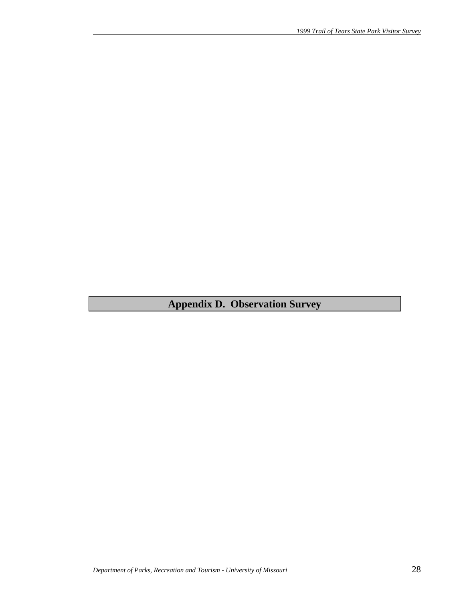# **Appendix D. Observation Survey**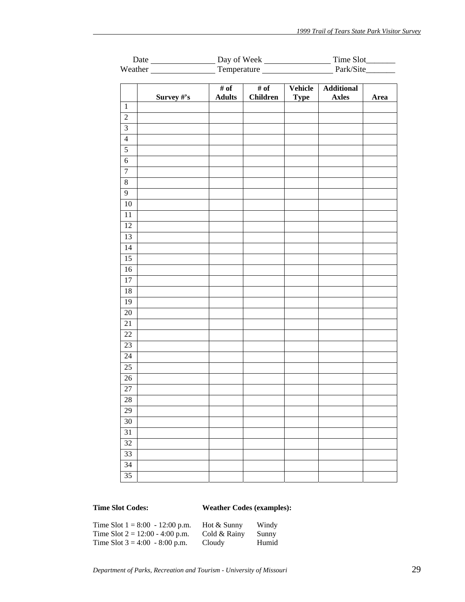|                         | Day of Week |               |                 | Time Slot_________                        |                   |      |
|-------------------------|-------------|---------------|-----------------|-------------------------------------------|-------------------|------|
|                         |             |               |                 | Weather Temperature Fernandezer Park/Site |                   |      |
|                         |             |               |                 |                                           |                   |      |
|                         |             | # of          | # of            | Vehicle                                   | <b>Additional</b> |      |
| $\mathbf{1}$            | Survey #'s  | <b>Adults</b> | <b>Children</b> | <b>Type</b>                               | <b>Axles</b>      | Area |
| $\sqrt{2}$              |             |               |                 |                                           |                   |      |
| $\overline{\mathbf{3}}$ |             |               |                 |                                           |                   |      |
| $\overline{4}$          |             |               |                 |                                           |                   |      |
| $\sqrt{5}$              |             |               |                 |                                           |                   |      |
| $\sqrt{6}$              |             |               |                 |                                           |                   |      |
| $\overline{7}$          |             |               |                 |                                           |                   |      |
| $\,8\,$                 |             |               |                 |                                           |                   |      |
| $\overline{9}$          |             |               |                 |                                           |                   |      |
| 10                      |             |               |                 |                                           |                   |      |
| 11                      |             |               |                 |                                           |                   |      |
| $\overline{12}$         |             |               |                 |                                           |                   |      |
| 13                      |             |               |                 |                                           |                   |      |
| 14                      |             |               |                 |                                           |                   |      |
| 15                      |             |               |                 |                                           |                   |      |
| 16                      |             |               |                 |                                           |                   |      |
| $17\,$                  |             |               |                 |                                           |                   |      |
| 18                      |             |               |                 |                                           |                   |      |
| 19                      |             |               |                 |                                           |                   |      |
| 20                      |             |               |                 |                                           |                   |      |
| 21                      |             |               |                 |                                           |                   |      |
| 22                      |             |               |                 |                                           |                   |      |
| $23\,$                  |             |               |                 |                                           |                   |      |
| 24                      |             |               |                 |                                           |                   |      |
| 25                      |             |               |                 |                                           |                   |      |
| $26\,$                  |             |               |                 |                                           |                   |      |
| $\overline{27}$         |             |               |                 |                                           |                   |      |
| 28                      |             |               |                 |                                           |                   |      |
| 29                      |             |               |                 |                                           |                   |      |
| $30\,$                  |             |               |                 |                                           |                   |      |
| $31\,$                  |             |               |                 |                                           |                   |      |
| 32                      |             |               |                 |                                           |                   |      |
| 33                      |             |               |                 |                                           |                   |      |
| 34                      |             |               |                 |                                           |                   |      |
| 35                      |             |               |                 |                                           |                   |      |
|                         |             |               |                 |                                           |                   |      |

# **Time Slot Codes: Weather Codes (examples):**

| Time Slot $1 = 8:00 - 12:00$ p.m. | Hot & Sunny  | Windy |
|-----------------------------------|--------------|-------|
| Time Slot $2 = 12:00 - 4:00$ p.m. | Cold & Rainy | Sunny |
| Time Slot $3 = 4:00 - 8:00$ p.m.  | Cloudy       | Humid |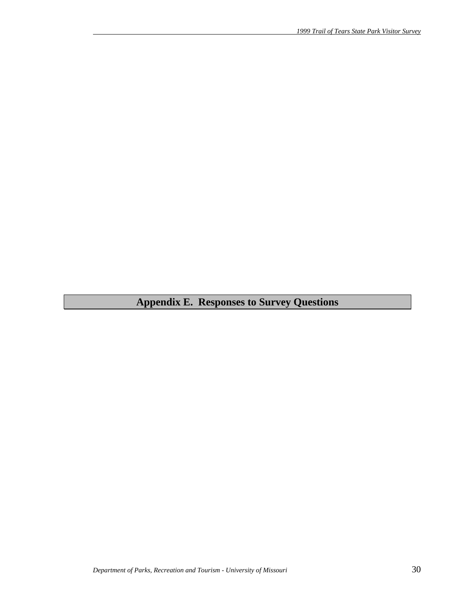# **Appendix E. Responses to Survey Questions**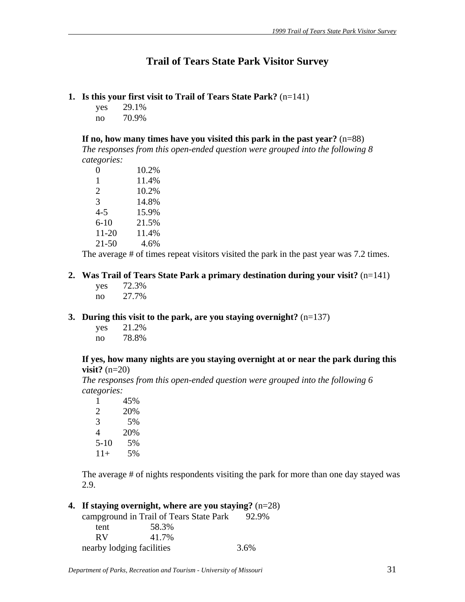# **Trail of Tears State Park Visitor Survey**

## **1. Is this your first visit to Trail of Tears State Park?** (n=141)

yes 29.1% no 70.9%

**If no, how many times have you visited this park in the past year?** (n=88)

*The responses from this open-ended question were grouped into the following 8 categories:*

| 0         | 10.2% |
|-----------|-------|
| 1         | 11.4% |
| 2         | 10.2% |
| 3         | 14.8% |
| $4 - 5$   | 15.9% |
| $6 - 10$  | 21.5% |
| 11-20     | 11.4% |
| $21 - 50$ | 4.6%  |

The average # of times repeat visitors visited the park in the past year was 7.2 times.

## **2. Was Trail of Tears State Park a primary destination during your visit?** (n=141)

 yes 72.3% no 27.7%

#### **3. During this visit to the park, are you staying overnight?** (n=137)

 yes 21.2% no 78.8%

#### **If yes, how many nights are you staying overnight at or near the park during this visit?** (n=20)

*The responses from this open-ended question were grouped into the following 6 categories:*

| 1     | 45% |
|-------|-----|
| 2     | 20% |
| 3     | 5%  |
| 4     | 20% |
| 5-10  | 5%  |
| $11+$ | 5%  |

The average # of nights respondents visiting the park for more than one day stayed was 2.9.

# **4. If staying overnight, where are you staying?** (n=28)

|                           | campground in Trail of Tears State Park | 92.9% |
|---------------------------|-----------------------------------------|-------|
| tent                      | 58.3%                                   |       |
| RV.                       | 41.7%                                   |       |
| nearby lodging facilities |                                         | 3.6%  |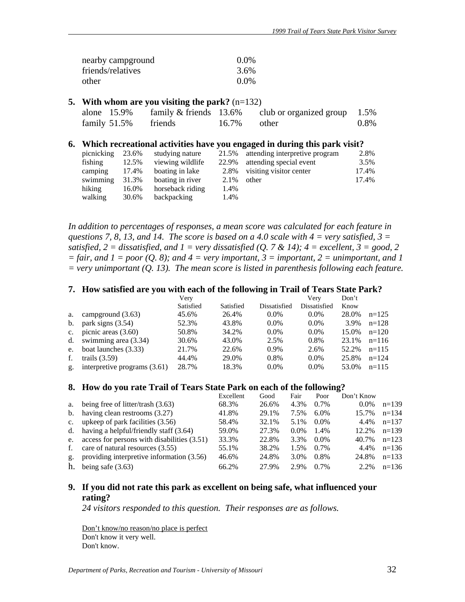| nearby campground | $0.0\%$ |
|-------------------|---------|
| friends/relatives | 3.6%    |
| other             | $0.0\%$ |

#### **5. With whom are you visiting the park?** (n=132)

| alone 15.9%          | family $&$ friends 13.6% | club or organized group $1.5\%$ |      |
|----------------------|--------------------------|---------------------------------|------|
| family 51.5% friends |                          | $16.7\%$ other                  | 0.8% |

#### **6. Which recreational activities have you engaged in during this park visit?**

| picnicking | 23.6% | studying nature  | 21.5% | attending interpretive program | 2.8%  |
|------------|-------|------------------|-------|--------------------------------|-------|
| fishing    | 12.5% | viewing wildlife | 22.9% | attending special event        | 3.5%  |
| camping    | 17.4% | boating in lake  | 2.8%  | visiting visitor center        | 17.4% |
| swimming   | 31.3% | boating in river | 2.1%  | other                          | 17.4% |
| hiking     | 16.0% | horseback riding | 1.4%  |                                |       |
| walking    | 30.6% | backpacking      | 1.4%  |                                |       |

In addition to percentages of responses, a mean score was calculated for each feature in *questions 7, 8, 13, and 14. The score is based on a 4.0 scale with 4 = very satisfied, 3 = satisfied, 2 = dissatisfied, and 1 = very dissatisfied (Q. 7 & 14); 4 = excellent, 3 = good, 2*  $=$  fair, and  $1 =$  poor  $(Q, 8)$ ; and  $4 =$  very important,  $3 =$  important,  $2 =$  unimportant, and  $1$ *= very unimportant (Q. 13). The mean score is listed in parenthesis following each feature.* 

#### **7. How satisfied are you with each of the following in Trail of Tears State Park?**

|             |                                | Verv      |           |              | Verv         | Don't |         |
|-------------|--------------------------------|-----------|-----------|--------------|--------------|-------|---------|
|             |                                | Satisfied | Satisfied | Dissatisfied | Dissatisfied | Know  |         |
| a.          | campground $(3.63)$            | 45.6%     | 26.4%     | $0.0\%$      | $0.0\%$      | 28.0% | $n=125$ |
| b.          | park signs $(3.54)$            | 52.3%     | 43.8%     | $0.0\%$      | $0.0\%$      | 3.9%  | $n=128$ |
| $c_{\cdot}$ | picnic areas $(3.60)$          | 50.8%     | 34.2%     | $0.0\%$      | $0.0\%$      | 15.0% | $n=120$ |
|             | d. swimming area $(3.34)$      | 30.6%     | 43.0%     | 2.5%         | 0.8%         | 23.1% | $n=116$ |
| e.          | boat launches (3.33)           | 21.7%     | 22.6%     | $0.9\%$      | 2.6%         | 52.2% | $n=115$ |
| f.          | trails $(3.59)$                | 44.4%     | 29.0%     | 0.8%         | $0.0\%$      | 25.8% | $n=124$ |
| g.          | interpretive programs $(3.61)$ | 28.7%     | 18.3%     | $0.0\%$      | $0.0\%$      | 53.0% | $n=115$ |

#### **8. How do you rate Trail of Tears State Park on each of the following?**

|              |                                                  | Excellent | Good  | Fair    | Poor    | Don't Know |         |
|--------------|--------------------------------------------------|-----------|-------|---------|---------|------------|---------|
| a.           | being free of litter/trash (3.63)                | 68.3%     | 26.6% | 4.3%    | 0.7%    | $0.0\%$    | $n=139$ |
|              | b. having clean restrooms $(3.27)$               | 41.8%     | 29.1% | 7.5%    | $6.0\%$ | 15.7%      | $n=134$ |
|              | c. upkeep of park facilities $(3.56)$            | 58.4%     | 32.1% | 5.1%    | $0.0\%$ | 4.4%       | $n=137$ |
|              | d. having a helpful/friendly staff $(3.64)$      | 59.0%     | 27.3% | $0.0\%$ | 1.4%    | 12.2%      | $n=139$ |
|              | e. access for persons with disabilities $(3.51)$ | 33.3%     | 22.8% | 3.3%    | $0.0\%$ | 40.7%      | $n=123$ |
| $f_{\rm{r}}$ | care of natural resources (3.55)                 | 55.1%     | 38.2% | 1.5%    | $0.7\%$ | 4.4%       | $n=136$ |
| $g_{\star}$  | providing interpretive information (3.56)        | 46.6%     | 24.8% | 3.0%    | $0.8\%$ | 24.8%      | $n=133$ |
| h.           | being safe $(3.63)$                              | 66.2%     | 27.9% | 2.9%    | $0.7\%$ | $2.2\%$    | $n=136$ |

## **9. If you did not rate this park as excellent on being safe, what influenced your rating?**

*24 visitors responded to this question. Their responses are as follows.* 

Don't know/no reason/no place is perfect Don't know it very well. Don't know.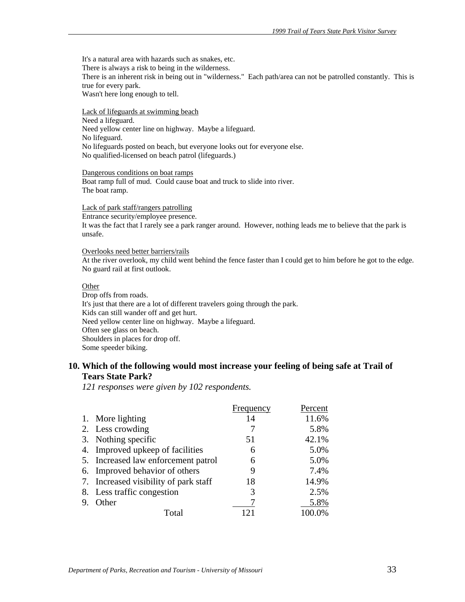It's a natural area with hazards such as snakes, etc. There is always a risk to being in the wilderness. There is an inherent risk in being out in "wilderness." Each path/area can not be patrolled constantly. This is true for every park. Wasn't here long enough to tell.

Lack of lifeguards at swimming beach Need a lifeguard. Need yellow center line on highway. Maybe a lifeguard. No lifeguard. No lifeguards posted on beach, but everyone looks out for everyone else. No qualified-licensed on beach patrol (lifeguards.)

Dangerous conditions on boat ramps Boat ramp full of mud. Could cause boat and truck to slide into river. The boat ramp.

Lack of park staff/rangers patrolling

Entrance security/employee presence.

It was the fact that I rarely see a park ranger around. However, nothing leads me to believe that the park is unsafe.

#### Overlooks need better barriers/rails

At the river overlook, my child went behind the fence faster than I could get to him before he got to the edge. No guard rail at first outlook.

#### Other

Drop offs from roads. It's just that there are a lot of different travelers going through the park. Kids can still wander off and get hurt. Need yellow center line on highway. Maybe a lifeguard. Often see glass on beach. Shoulders in places for drop off. Some speeder biking.

#### **10. Which of the following would most increase your feeling of being safe at Trail of Tears State Park?**

*121 responses were given by 102 respondents.*

|              |                                       | Frequency | Percent |
|--------------|---------------------------------------|-----------|---------|
|              | 1. More lighting                      | 14        | 11.6%   |
|              | 2. Less crowding                      |           | 5.8%    |
|              | 3. Nothing specific                   | 51        | 42.1%   |
|              | 4. Improved upkeep of facilities      | 6         | 5.0%    |
|              | 5. Increased law enforcement patrol   | 6         | 5.0%    |
|              | 6. Improved behavior of others        | 9         | 7.4%    |
|              | 7. Increased visibility of park staff | 18        | 14.9%   |
|              | 8. Less traffic congestion            | 3         | 2.5%    |
| $\mathbf{Q}$ | Other                                 |           | 5.8%    |
|              | Total                                 | $\cap$    | 100.0%  |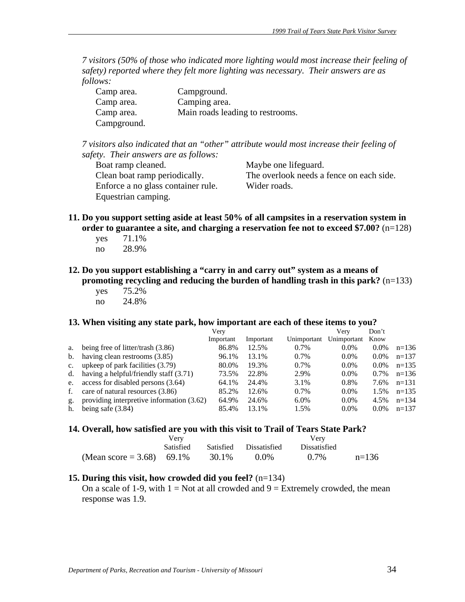*7 visitors (50% of those who indicated more lighting would most increase their feeling of safety) reported where they felt more lighting was necessary. Their answers are as follows:*

| Camp area.  | Campground.                      |
|-------------|----------------------------------|
| Camp area.  | Camping area.                    |
| Camp area.  | Main roads leading to restrooms. |
| Campground. |                                  |

*7 visitors also indicated that an "other" attribute would most increase their feeling of safety. Their answers are as follows:*

Boat ramp cleaned. Maybe one lifeguard. Clean boat ramp periodically. The overlook needs a fence on each side. Enforce a no glass container rule. Wider roads. Equestrian camping.

- **11. Do you support setting aside at least 50% of all campsites in a reservation system in order to guarantee a site, and charging a reservation fee not to exceed \$7.00?** (n=128)
	- yes 71.1% no 28.9%
- **12. Do you support establishing a "carry in and carry out" system as a means of promoting recycling and reducing the burden of handling trash in this park?** (n=133)
	- yes 75.2% no 24.8%

#### **13. When visiting any state park, how important are each of these items to you?**

|             |                                           | Very      |           |             | Verv        | Don't   |         |
|-------------|-------------------------------------------|-----------|-----------|-------------|-------------|---------|---------|
|             |                                           | Important | Important | Unimportant | Unimportant | Know    |         |
| a.          | being free of litter/trash $(3.86)$       | 86.8%     | 12.5%     | 0.7%        | $0.0\%$     | $0.0\%$ | $n=136$ |
| b.          | having clean restrooms (3.85)             | 96.1%     | 13.1%     | 0.7%        | $0.0\%$     | $0.0\%$ | $n=137$ |
| $c_{\cdot}$ | upkeep of park facilities (3.79)          | 80.0%     | 19.3%     | 0.7%        | $0.0\%$     | $0.0\%$ | $n=135$ |
| d.          | having a helpful/friendly staff (3.71)    | 73.5%     | 22.8%     | 2.9%        | $0.0\%$     | 0.7%    | $n=136$ |
| e.          | access for disabled persons (3.64)        | 64.1%     | 24.4%     | 3.1%        | 0.8%        | 7.6%    | $n=131$ |
| f.          | care of natural resources (3.86)          | 85.2%     | 12.6%     | 0.7%        | $0.0\%$     | 1.5%    | $n=135$ |
| g.          | providing interpretive information (3.62) | 64.9%     | 24.6%     | $6.0\%$     | $0.0\%$     | 4.5%    | $n=134$ |
| h.          | being safe $(3.84)$                       | 85.4%     | 13.1%     | 1.5%        | $0.0\%$     | $0.0\%$ | $n=137$ |

#### 14. Overall, how satisfied are you with this visit to Trail of Tears State Park?

|                           | v er y    |       |                        |                     |         |
|---------------------------|-----------|-------|------------------------|---------------------|---------|
|                           | Satisfied |       | Satisfied Dissatisfied | <b>Dissatisfied</b> |         |
| (Mean score = 3.68) 69.1% |           | 30.1% | $0.0\%$                | $0.7\%$             | $n=136$ |

#### **15. During this visit, how crowded did you feel?** (n=134)

On a scale of 1-9, with  $1 = Not$  at all crowded and  $9 = Extremely$  crowded, the mean response was 1.9.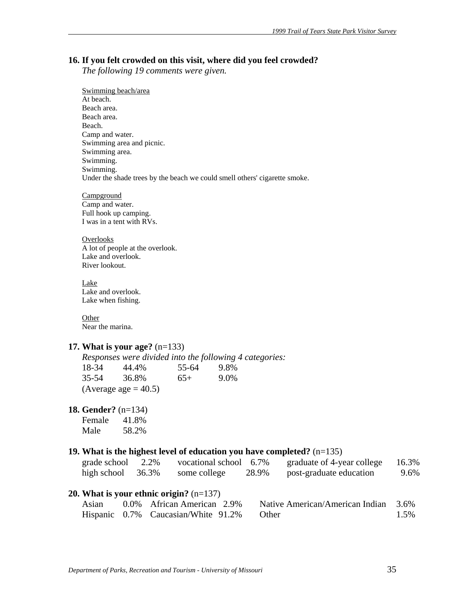#### **16. If you felt crowded on this visit, where did you feel crowded?**

*The following 19 comments were given.* 

 Swimming beach/area At beach. Beach area. Beach area. Beach. Camp and water. Swimming area and picnic. Swimming area. Swimming. Swimming. Under the shade trees by the beach we could smell others' cigarette smoke.

**Campground**  Camp and water. Full hook up camping. I was in a tent with RVs.

**Overlooks**  A lot of people at the overlook. Lake and overlook. River lookout.

 Lake Lake and overlook. Lake when fishing.

**Other** Near the marina.

#### **17. What is your age?** (n=133)

*Responses were divided into the following 4 categories:* 18-34 44.4% 55-64 9.8% 35-54 36.8% 65+ 9.0% (Average age  $= 40.5$ )

#### **18. Gender?** (n=134)

Female 41.8% Male 58.2%

#### **19. What is the highest level of education you have completed?** (n=135)

| grade school | 2.2%  | vocational school 6.7% |       | graduate of 4-year college | 16.3% |
|--------------|-------|------------------------|-------|----------------------------|-------|
| high school  | 36.3% | some college           | 28.9% | post-graduate education    | 9.6%  |

#### **20. What is your ethnic origin?** (n=137)

| Asian | 0.0% African American 2.9%                | Native American/American Indian 3.6% |      |
|-------|-------------------------------------------|--------------------------------------|------|
|       | Hispanic 0.7% Caucasian/White 91.2% Other |                                      | 1.5% |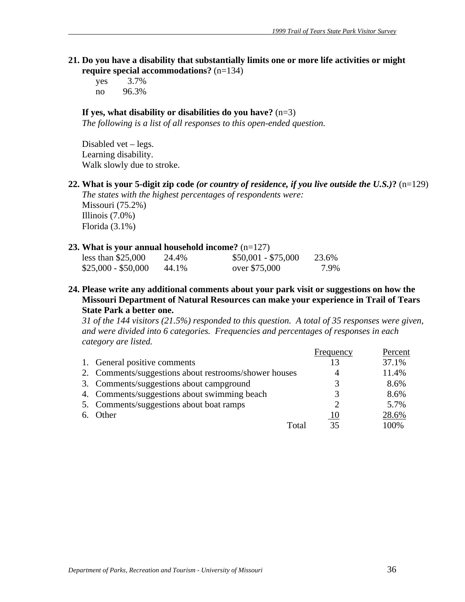**21. Do you have a disability that substantially limits one or more life activities or might require special accommodations?** (n=134)

 yes 3.7% no 96.3%

# **If yes, what disability or disabilities do you have?** (n=3)

*The following is a list of all responses to this open-ended question.* 

 Disabled vet – legs. Learning disability. Walk slowly due to stroke.

**22. What is your 5-digit zip code** *(or country of residence, if you live outside the U.S.)***?** (n=129)

*The states with the highest percentages of respondents were:*  Missouri (75.2%) Illinois (7.0%) Florida (3.1%)

#### **23. What is your annual household income?** (n=127)

| less than $$25,000$ | 24.4% | $$50,001 - $75,000$ | 23.6% |
|---------------------|-------|---------------------|-------|
| $$25,000 - $50,000$ | 44.1% | over \$75,000       | 7.9%  |

**24. Please write any additional comments about your park visit or suggestions on how the Missouri Department of Natural Resources can make your experience in Trail of Tears State Park a better one.** 

*31 of the 144 visitors (21.5%) responded to this question. A total of 35 responses were given, and were divided into 6 categories. Frequencies and percentages of responses in each category are listed.*

|                                                       | Frequency | Percent |
|-------------------------------------------------------|-----------|---------|
| 1. General positive comments                          | 13        | 37.1%   |
| 2. Comments/suggestions about restrooms/shower houses | 4         | 11.4%   |
| 3. Comments/suggestions about campground              | 3         | 8.6%    |
| 4. Comments/suggestions about swimming beach          | 3         | 8.6%    |
| 5. Comments/suggestions about boat ramps              | 2         | 5.7%    |
| 6. Other                                              | 10        | 28.6%   |
| Total                                                 | 35        | 100%    |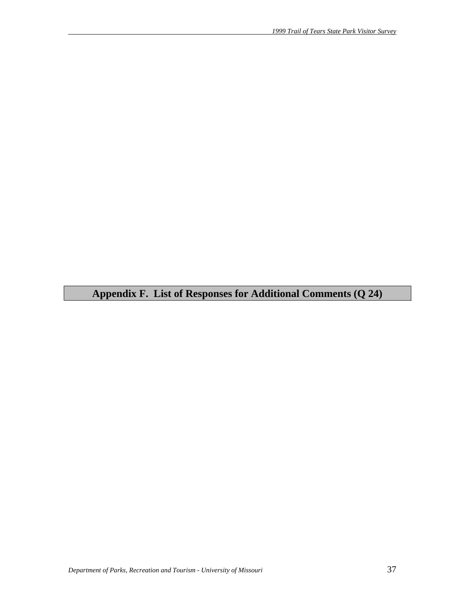# **Appendix F. List of Responses for Additional Comments (Q 24)**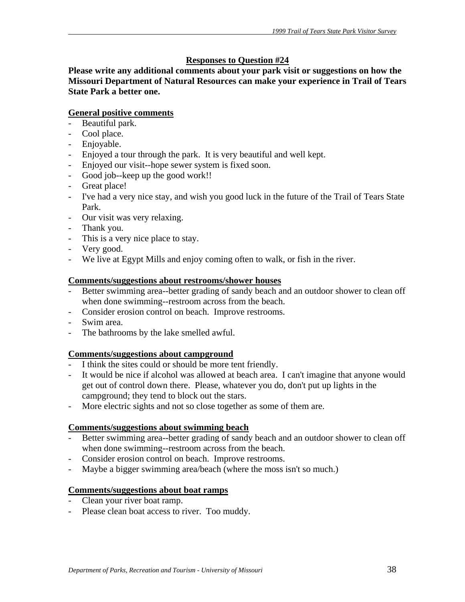# **Responses to Question #24**

**Please write any additional comments about your park visit or suggestions on how the Missouri Department of Natural Resources can make your experience in Trail of Tears State Park a better one.** 

# **General positive comments**

- Beautiful park.
- Cool place.
- Enjoyable.
- Enjoyed a tour through the park. It is very beautiful and well kept.
- Enjoyed our visit--hope sewer system is fixed soon.
- Good job--keep up the good work!!
- Great place!
- I've had a very nice stay, and wish you good luck in the future of the Trail of Tears State Park.
- Our visit was very relaxing.
- Thank you.
- This is a very nice place to stay.
- Very good.
- We live at Egypt Mills and enjoy coming often to walk, or fish in the river.

#### **Comments/suggestions about restrooms/shower houses**

- Better swimming area--better grading of sandy beach and an outdoor shower to clean off when done swimming--restroom across from the beach.
- Consider erosion control on beach. Improve restrooms.
- Swim area.
- The bathrooms by the lake smelled awful.

#### **Comments/suggestions about campground**

- I think the sites could or should be more tent friendly.
- It would be nice if alcohol was allowed at beach area. I can't imagine that anyone would get out of control down there. Please, whatever you do, don't put up lights in the campground; they tend to block out the stars.
- More electric sights and not so close together as some of them are.

#### **Comments/suggestions about swimming beach**

- Better swimming area--better grading of sandy beach and an outdoor shower to clean off when done swimming--restroom across from the beach.
- Consider erosion control on beach. Improve restrooms.
- Maybe a bigger swimming area/beach (where the moss isn't so much.)

#### **Comments/suggestions about boat ramps**

- Clean your river boat ramp.
- Please clean boat access to river. Too muddy.